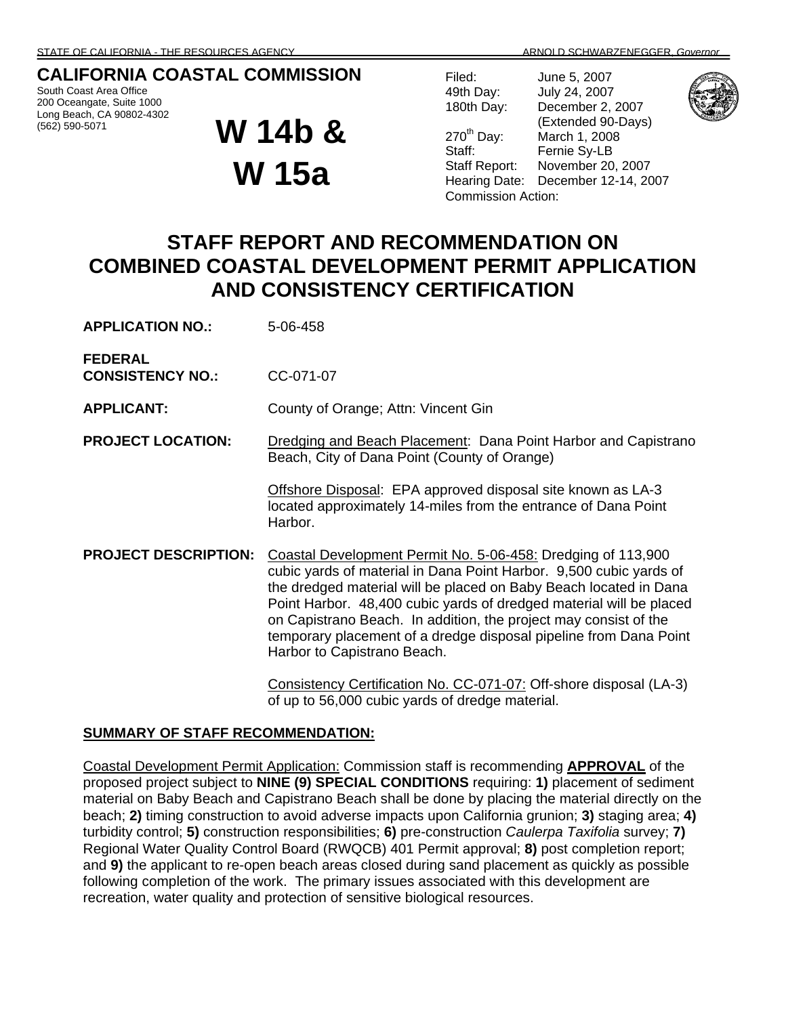# **CALIFORNIA COASTAL COMMISSION**

South Coast Area Office 200 Oceangate, Suite 1000 Long Beach, CA 90802-4302 (562) 590-5071

# **W 14b & W 15a**

Filed: June 5, 2007 49th Day: July 24, 2007 180th Day: December 2, 2007 (Extended 90-Days)<br>270<sup>th</sup> Day: March 1, 2008 March 1, 2008 Staff: Fernie Sy-LB Staff Report: November 20, 2007 Hearing Date: December 12-14, 2007



Commission Action: **STAFF REPORT AND RECOMMENDATION ON COMBINED COASTAL DEVELOPMENT PERMIT APPLICATION AND CONSISTENCY CERTIFICATION** 

| <b>APPLICATION NO.:</b>                   | 5-06-458                                                                                                                                                                                                                                                                                                                                                                                                                                               |
|-------------------------------------------|--------------------------------------------------------------------------------------------------------------------------------------------------------------------------------------------------------------------------------------------------------------------------------------------------------------------------------------------------------------------------------------------------------------------------------------------------------|
| <b>FEDERAL</b><br><b>CONSISTENCY NO.:</b> | CC-071-07                                                                                                                                                                                                                                                                                                                                                                                                                                              |
| <b>APPLICANT:</b>                         | County of Orange; Attn: Vincent Gin                                                                                                                                                                                                                                                                                                                                                                                                                    |
| <b>PROJECT LOCATION:</b>                  | Dredging and Beach Placement: Dana Point Harbor and Capistrano<br>Beach, City of Dana Point (County of Orange)                                                                                                                                                                                                                                                                                                                                         |
|                                           | Offshore Disposal: EPA approved disposal site known as LA-3<br>located approximately 14-miles from the entrance of Dana Point<br>Harbor.                                                                                                                                                                                                                                                                                                               |
| <b>PROJECT DESCRIPTION:</b>               | Coastal Development Permit No. 5-06-458: Dredging of 113,900<br>cubic yards of material in Dana Point Harbor. 9,500 cubic yards of<br>the dredged material will be placed on Baby Beach located in Dana<br>Point Harbor. 48,400 cubic yards of dredged material will be placed<br>on Capistrano Beach. In addition, the project may consist of the<br>temporary placement of a dredge disposal pipeline from Dana Point<br>Harbor to Capistrano Beach. |
|                                           | Consistency Certification No. CC-071-07: Off-shore disposal (LA-3)                                                                                                                                                                                                                                                                                                                                                                                     |

Consistency Certification No. CC-071-07: Off-shore disposal (LA-3) of up to 56,000 cubic yards of dredge material.

#### **SUMMARY OF STAFF RECOMMENDATION:**

Coastal Development Permit Application: Commission staff is recommending **APPROVAL** of the proposed project subject to **NINE (9) SPECIAL CONDITIONS** requiring: **1)** placement of sediment material on Baby Beach and Capistrano Beach shall be done by placing the material directly on the beach; **2)** timing construction to avoid adverse impacts upon California grunion; **3)** staging area; **4)** turbidity control; **5)** construction responsibilities; **6)** pre-construction *Caulerpa Taxifolia* survey; **7)** Regional Water Quality Control Board (RWQCB) 401 Permit approval; **8)** post completion report; and **9)** the applicant to re-open beach areas closed during sand placement as quickly as possible following completion of the work. The primary issues associated with this development are recreation, water quality and protection of sensitive biological resources.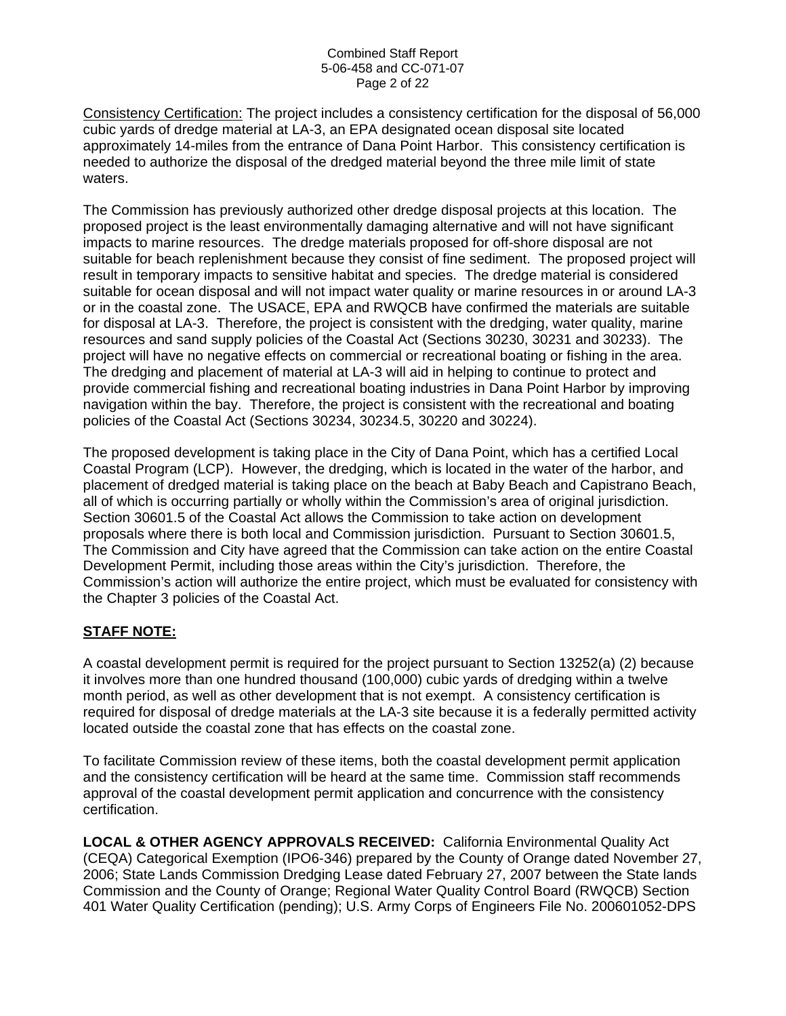Consistency Certification: The project includes a consistency certification for the disposal of 56,000 cubic yards of dredge material at LA-3, an EPA designated ocean disposal site located approximately 14-miles from the entrance of Dana Point Harbor. This consistency certification is needed to authorize the disposal of the dredged material beyond the three mile limit of state waters.

The Commission has previously authorized other dredge disposal projects at this location. The proposed project is the least environmentally damaging alternative and will not have significant impacts to marine resources. The dredge materials proposed for off-shore disposal are not suitable for beach replenishment because they consist of fine sediment. The proposed project will result in temporary impacts to sensitive habitat and species. The dredge material is considered suitable for ocean disposal and will not impact water quality or marine resources in or around LA-3 or in the coastal zone. The USACE, EPA and RWQCB have confirmed the materials are suitable for disposal at LA-3. Therefore, the project is consistent with the dredging, water quality, marine resources and sand supply policies of the Coastal Act (Sections 30230, 30231 and 30233). The project will have no negative effects on commercial or recreational boating or fishing in the area. The dredging and placement of material at LA-3 will aid in helping to continue to protect and provide commercial fishing and recreational boating industries in Dana Point Harbor by improving navigation within the bay. Therefore, the project is consistent with the recreational and boating policies of the Coastal Act (Sections 30234, 30234.5, 30220 and 30224).

The proposed development is taking place in the City of Dana Point, which has a certified Local Coastal Program (LCP). However, the dredging, which is located in the water of the harbor, and placement of dredged material is taking place on the beach at Baby Beach and Capistrano Beach, all of which is occurring partially or wholly within the Commission's area of original jurisdiction. Section 30601.5 of the Coastal Act allows the Commission to take action on development proposals where there is both local and Commission jurisdiction. Pursuant to Section 30601.5, The Commission and City have agreed that the Commission can take action on the entire Coastal Development Permit, including those areas within the City's jurisdiction. Therefore, the Commission's action will authorize the entire project, which must be evaluated for consistency with the Chapter 3 policies of the Coastal Act.

## **STAFF NOTE:**

A coastal development permit is required for the project pursuant to Section 13252(a) (2) because it involves more than one hundred thousand (100,000) cubic yards of dredging within a twelve month period, as well as other development that is not exempt. A consistency certification is required for disposal of dredge materials at the LA-3 site because it is a federally permitted activity located outside the coastal zone that has effects on the coastal zone.

To facilitate Commission review of these items, both the coastal development permit application and the consistency certification will be heard at the same time. Commission staff recommends approval of the coastal development permit application and concurrence with the consistency certification.

**LOCAL & OTHER AGENCY APPROVALS RECEIVED:** California Environmental Quality Act (CEQA) Categorical Exemption (IPO6-346) prepared by the County of Orange dated November 27, 2006; State Lands Commission Dredging Lease dated February 27, 2007 between the State lands Commission and the County of Orange; Regional Water Quality Control Board (RWQCB) Section 401 Water Quality Certification (pending); U.S. Army Corps of Engineers File No. 200601052-DPS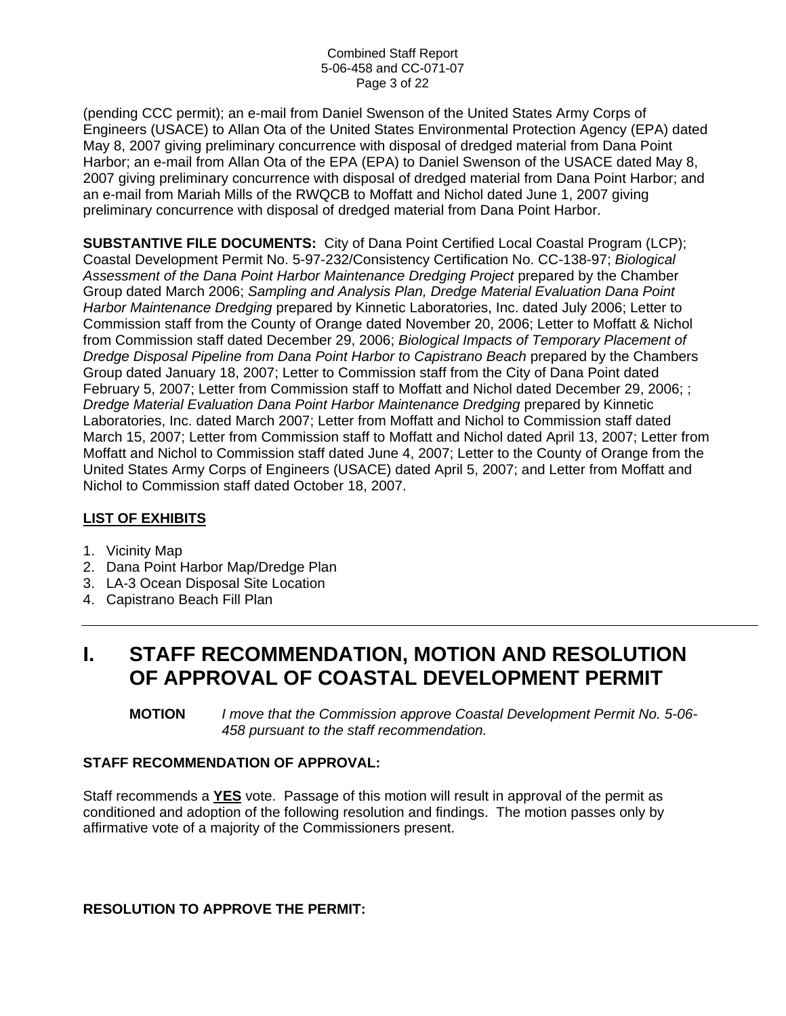(pending CCC permit); an e-mail from Daniel Swenson of the United States Army Corps of Engineers (USACE) to Allan Ota of the United States Environmental Protection Agency (EPA) dated May 8, 2007 giving preliminary concurrence with disposal of dredged material from Dana Point Harbor; an e-mail from Allan Ota of the EPA (EPA) to Daniel Swenson of the USACE dated May 8, 2007 giving preliminary concurrence with disposal of dredged material from Dana Point Harbor; and an e-mail from Mariah Mills of the RWQCB to Moffatt and Nichol dated June 1, 2007 giving preliminary concurrence with disposal of dredged material from Dana Point Harbor.

**SUBSTANTIVE FILE DOCUMENTS:** City of Dana Point Certified Local Coastal Program (LCP); Coastal Development Permit No. 5-97-232/Consistency Certification No. CC-138-97; *Biological*  Assessment of the Dana Point Harbor Maintenance Dredging Project prepared by the Chamber Group dated March 2006; *Sampling and Analysis Plan, Dredge Material Evaluation Dana Point Harbor Maintenance Dredging* prepared by Kinnetic Laboratories, Inc. dated July 2006; Letter to Commission staff from the County of Orange dated November 20, 2006; Letter to Moffatt & Nichol from Commission staff dated December 29, 2006; *Biological Impacts of Temporary Placement of Dredge Disposal Pipeline from Dana Point Harbor to Capistrano Beach* prepared by the Chambers Group dated January 18, 2007; Letter to Commission staff from the City of Dana Point dated February 5, 2007; Letter from Commission staff to Moffatt and Nichol dated December 29, 2006; ; *Dredge Material Evaluation Dana Point Harbor Maintenance Dredging* prepared by Kinnetic Laboratories, Inc. dated March 2007; Letter from Moffatt and Nichol to Commission staff dated March 15, 2007; Letter from Commission staff to Moffatt and Nichol dated April 13, 2007; Letter from Moffatt and Nichol to Commission staff dated June 4, 2007; Letter to the County of Orange from the United States Army Corps of Engineers (USACE) dated April 5, 2007; and Letter from Moffatt and Nichol to Commission staff dated October 18, 2007.

## **LIST OF EXHIBITS**

- 1. Vicinity Map
- 2. Dana Point Harbor Map/Dredge Plan
- 3. LA-3 Ocean Disposal Site Location
- 4. Capistrano Beach Fill Plan

# **I. STAFF RECOMMENDATION, MOTION AND RESOLUTION OF APPROVAL OF COASTAL DEVELOPMENT PERMIT**

**MOTION** *I move that the Commission approve Coastal Development Permit No. 5-06- 458 pursuant to the staff recommendation.*

## **STAFF RECOMMENDATION OF APPROVAL:**

Staff recommends a **YES** vote. Passage of this motion will result in approval of the permit as conditioned and adoption of the following resolution and findings. The motion passes only by affirmative vote of a majority of the Commissioners present.

**RESOLUTION TO APPROVE THE PERMIT:**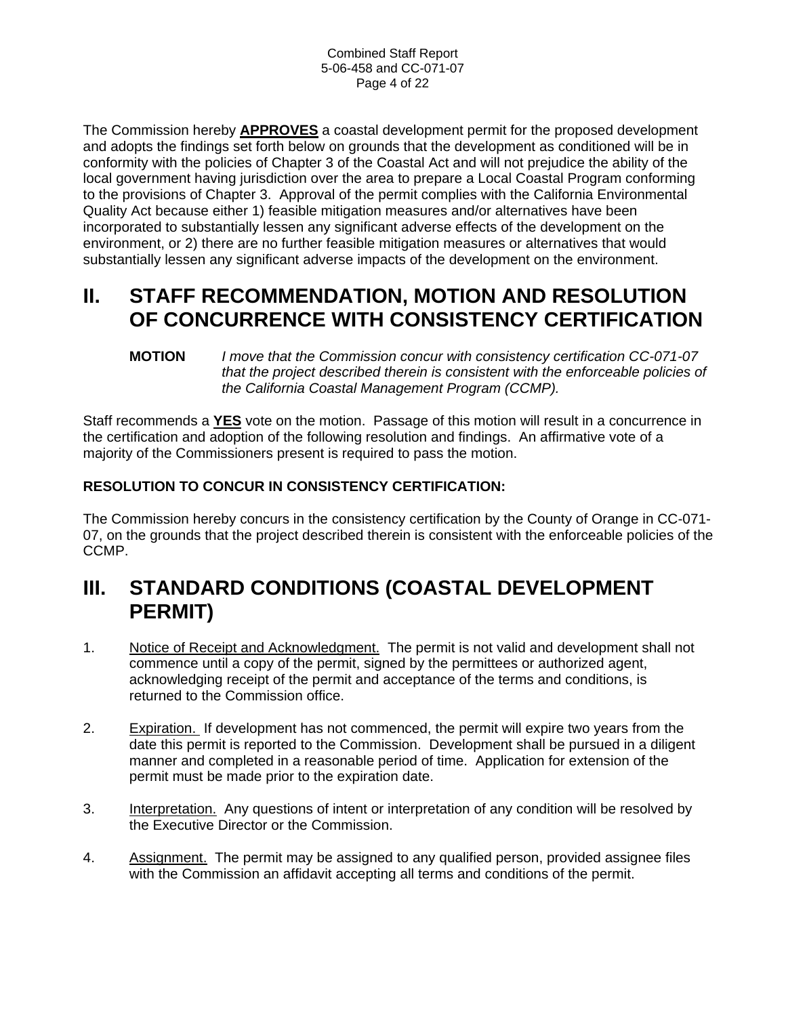The Commission hereby **APPROVES** a coastal development permit for the proposed development and adopts the findings set forth below on grounds that the development as conditioned will be in conformity with the policies of Chapter 3 of the Coastal Act and will not prejudice the ability of the local government having jurisdiction over the area to prepare a Local Coastal Program conforming to the provisions of Chapter 3. Approval of the permit complies with the California Environmental Quality Act because either 1) feasible mitigation measures and/or alternatives have been incorporated to substantially lessen any significant adverse effects of the development on the environment, or 2) there are no further feasible mitigation measures or alternatives that would substantially lessen any significant adverse impacts of the development on the environment.

# **II. STAFF RECOMMENDATION, MOTION AND RESOLUTION OF CONCURRENCE WITH CONSISTENCY CERTIFICATION**

**MOTION** *I move that the Commission concur with consistency certification CC-071-07 that the project described therein is consistent with the enforceable policies of the California Coastal Management Program (CCMP).* 

Staff recommends a **YES** vote on the motion. Passage of this motion will result in a concurrence in the certification and adoption of the following resolution and findings. An affirmative vote of a majority of the Commissioners present is required to pass the motion.

# **RESOLUTION TO CONCUR IN CONSISTENCY CERTIFICATION:**

The Commission hereby concurs in the consistency certification by the County of Orange in CC-071- 07, on the grounds that the project described therein is consistent with the enforceable policies of the CCMP.

# **III. STANDARD CONDITIONS (COASTAL DEVELOPMENT PERMIT)**

- 1. Notice of Receipt and Acknowledgment. The permit is not valid and development shall not commence until a copy of the permit, signed by the permittees or authorized agent, acknowledging receipt of the permit and acceptance of the terms and conditions, is returned to the Commission office.
- 2. Expiration. If development has not commenced, the permit will expire two years from the date this permit is reported to the Commission. Development shall be pursued in a diligent manner and completed in a reasonable period of time. Application for extension of the permit must be made prior to the expiration date.
- 3. Interpretation. Any questions of intent or interpretation of any condition will be resolved by the Executive Director or the Commission.
- 4. Assignment. The permit may be assigned to any qualified person, provided assignee files with the Commission an affidavit accepting all terms and conditions of the permit.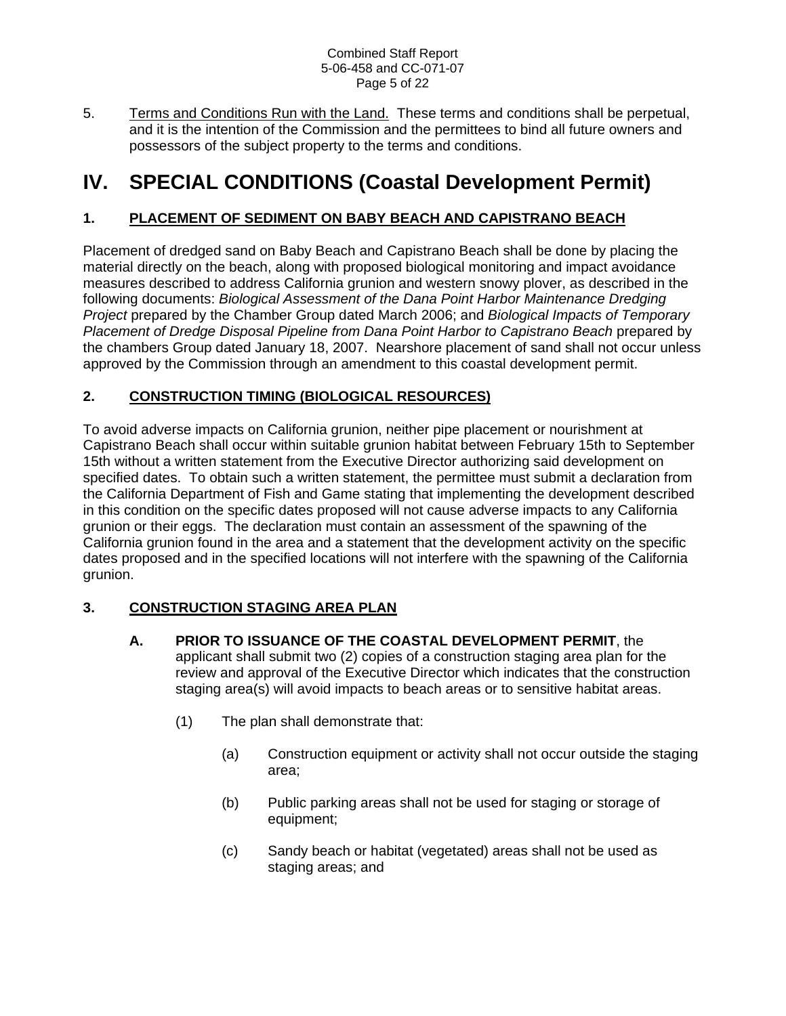#### Combined Staff Report 5-06-458 and CC-071-07 Page 5 of 22

5. Terms and Conditions Run with the Land. These terms and conditions shall be perpetual, and it is the intention of the Commission and the permittees to bind all future owners and possessors of the subject property to the terms and conditions.

# **IV. SPECIAL CONDITIONS (Coastal Development Permit)**

# **1. PLACEMENT OF SEDIMENT ON BABY BEACH AND CAPISTRANO BEACH**

Placement of dredged sand on Baby Beach and Capistrano Beach shall be done by placing the material directly on the beach, along with proposed biological monitoring and impact avoidance measures described to address California grunion and western snowy plover, as described in the following documents: *Biological Assessment of the Dana Point Harbor Maintenance Dredging Project* prepared by the Chamber Group dated March 2006; and *Biological Impacts of Temporary Placement of Dredge Disposal Pipeline from Dana Point Harbor to Capistrano Beach* prepared by the chambers Group dated January 18, 2007. Nearshore placement of sand shall not occur unless approved by the Commission through an amendment to this coastal development permit.

# **2. CONSTRUCTION TIMING (BIOLOGICAL RESOURCES)**

To avoid adverse impacts on California grunion, neither pipe placement or nourishment at Capistrano Beach shall occur within suitable grunion habitat between February 15th to September 15th without a written statement from the Executive Director authorizing said development on specified dates. To obtain such a written statement, the permittee must submit a declaration from the California Department of Fish and Game stating that implementing the development described in this condition on the specific dates proposed will not cause adverse impacts to any California grunion or their eggs. The declaration must contain an assessment of the spawning of the California grunion found in the area and a statement that the development activity on the specific dates proposed and in the specified locations will not interfere with the spawning of the California grunion.

# **3. CONSTRUCTION STAGING AREA PLAN**

- **A. PRIOR TO ISSUANCE OF THE COASTAL DEVELOPMENT PERMIT**, the applicant shall submit two (2) copies of a construction staging area plan for the review and approval of the Executive Director which indicates that the construction staging area(s) will avoid impacts to beach areas or to sensitive habitat areas.
	- (1) The plan shall demonstrate that:
		- (a) Construction equipment or activity shall not occur outside the staging area;
		- (b) Public parking areas shall not be used for staging or storage of equipment;
		- (c) Sandy beach or habitat (vegetated) areas shall not be used as staging areas; and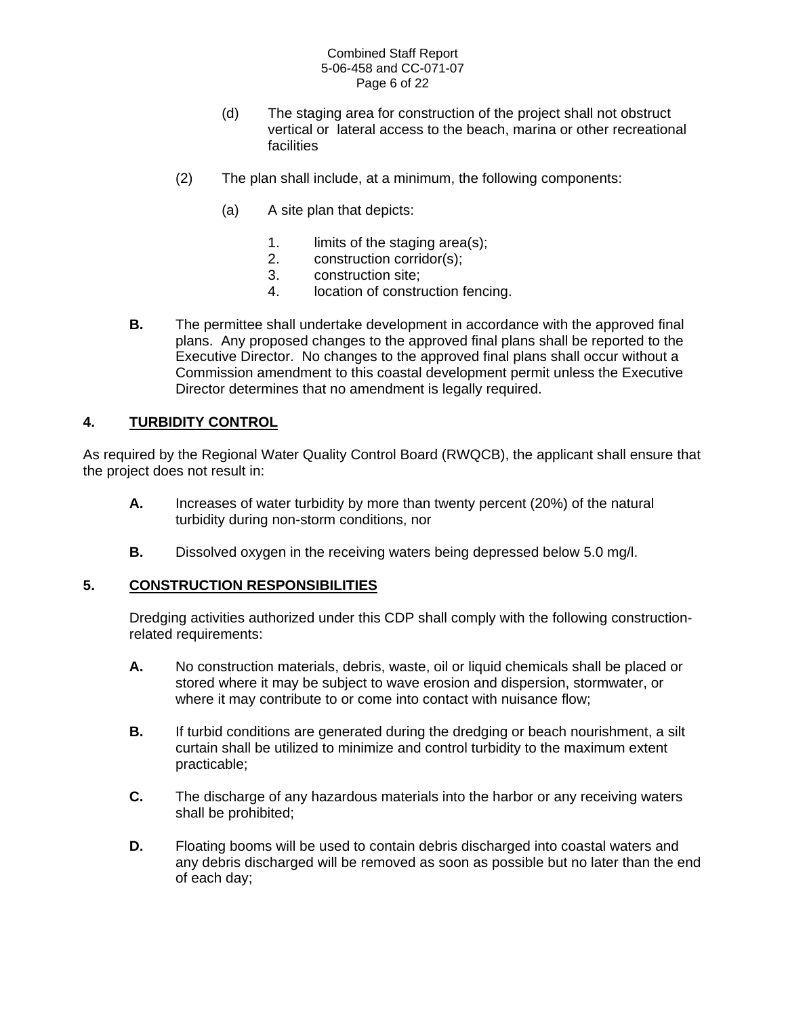#### Combined Staff Report 5-06-458 and CC-071-07 Page 6 of 22

- (d) The staging area for construction of the project shall not obstruct vertical or lateral access to the beach, marina or other recreational facilities
- (2) The plan shall include, at a minimum, the following components:
	- (a) A site plan that depicts:
		- 1. limits of the staging area(s);
		- 2. construction corridor(s);
		- 3. construction site;
		- 4. location of construction fencing.
- **B.** The permittee shall undertake development in accordance with the approved final plans. Any proposed changes to the approved final plans shall be reported to the Executive Director. No changes to the approved final plans shall occur without a Commission amendment to this coastal development permit unless the Executive Director determines that no amendment is legally required.

#### **4. TURBIDITY CONTROL**

As required by the Regional Water Quality Control Board (RWQCB), the applicant shall ensure that the project does not result in:

- **A.** Increases of water turbidity by more than twenty percent (20%) of the natural turbidity during non-storm conditions, nor
- **B.** Dissolved oxygen in the receiving waters being depressed below 5.0 mg/l.

#### **5. CONSTRUCTION RESPONSIBILITIES**

Dredging activities authorized under this CDP shall comply with the following constructionrelated requirements:

- **A.** No construction materials, debris, waste, oil or liquid chemicals shall be placed or stored where it may be subject to wave erosion and dispersion, stormwater, or where it may contribute to or come into contact with nuisance flow;
- **B.** If turbid conditions are generated during the dredging or beach nourishment, a silt curtain shall be utilized to minimize and control turbidity to the maximum extent practicable;
- **C.** The discharge of any hazardous materials into the harbor or any receiving waters shall be prohibited;
- **D.** Floating booms will be used to contain debris discharged into coastal waters and any debris discharged will be removed as soon as possible but no later than the end of each day;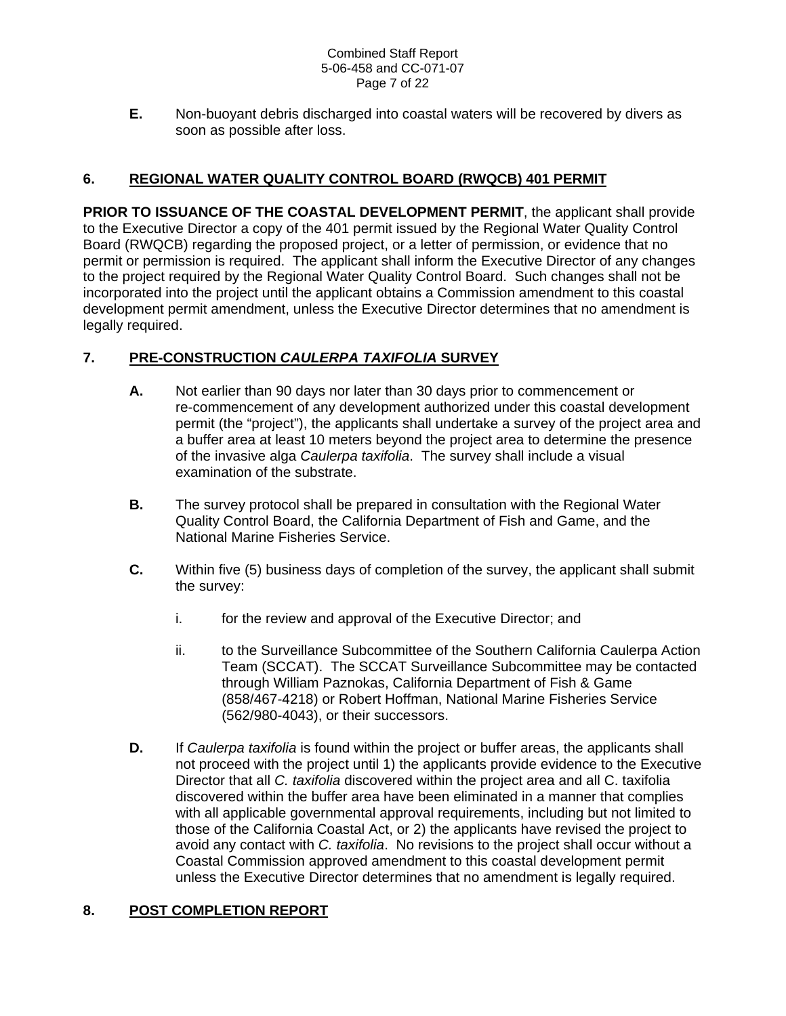#### Combined Staff Report 5-06-458 and CC-071-07 Page 7 of 22

**E.** Non-buoyant debris discharged into coastal waters will be recovered by divers as soon as possible after loss.

# **6. REGIONAL WATER QUALITY CONTROL BOARD (RWQCB) 401 PERMIT**

**PRIOR TO ISSUANCE OF THE COASTAL DEVELOPMENT PERMIT**, the applicant shall provide to the Executive Director a copy of the 401 permit issued by the Regional Water Quality Control Board (RWQCB) regarding the proposed project, or a letter of permission, or evidence that no permit or permission is required. The applicant shall inform the Executive Director of any changes to the project required by the Regional Water Quality Control Board. Such changes shall not be incorporated into the project until the applicant obtains a Commission amendment to this coastal development permit amendment, unless the Executive Director determines that no amendment is legally required.

# **7. PRE-CONSTRUCTION** *CAULERPA TAXIFOLIA* **SURVEY**

- **A.** Not earlier than 90 days nor later than 30 days prior to commencement or re-commencement of any development authorized under this coastal development permit (the "project"), the applicants shall undertake a survey of the project area and a buffer area at least 10 meters beyond the project area to determine the presence of the invasive alga *Caulerpa taxifolia*. The survey shall include a visual examination of the substrate.
- **B.** The survey protocol shall be prepared in consultation with the Regional Water Quality Control Board, the California Department of Fish and Game, and the National Marine Fisheries Service.
- **C.** Within five (5) business days of completion of the survey, the applicant shall submit the survey:
	- i. for the review and approval of the Executive Director; and
	- ii. to the Surveillance Subcommittee of the Southern California Caulerpa Action Team (SCCAT). The SCCAT Surveillance Subcommittee may be contacted through William Paznokas, California Department of Fish & Game (858/467-4218) or Robert Hoffman, National Marine Fisheries Service (562/980-4043), or their successors.
- **D.** If *Caulerpa taxifolia* is found within the project or buffer areas, the applicants shall not proceed with the project until 1) the applicants provide evidence to the Executive Director that all *C. taxifolia* discovered within the project area and all C. taxifolia discovered within the buffer area have been eliminated in a manner that complies with all applicable governmental approval requirements, including but not limited to those of the California Coastal Act, or 2) the applicants have revised the project to avoid any contact with *C. taxifolia*. No revisions to the project shall occur without a Coastal Commission approved amendment to this coastal development permit unless the Executive Director determines that no amendment is legally required.

## **8. POST COMPLETION REPORT**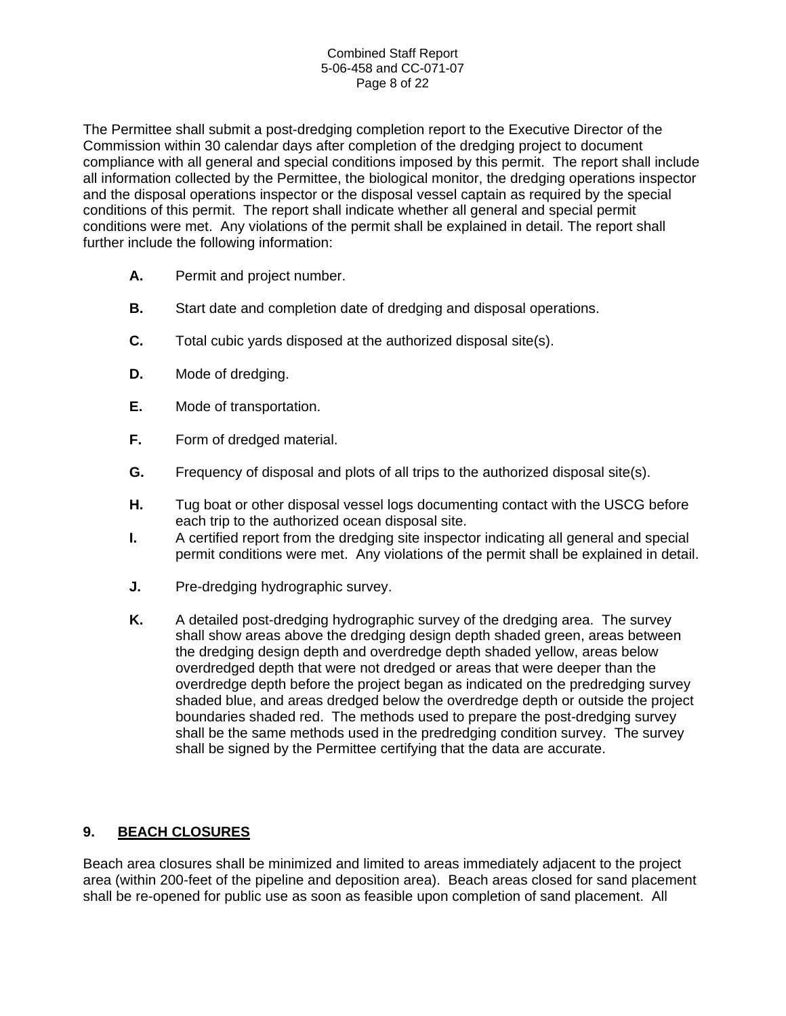#### Combined Staff Report 5-06-458 and CC-071-07 Page 8 of 22

The Permittee shall submit a post-dredging completion report to the Executive Director of the Commission within 30 calendar days after completion of the dredging project to document compliance with all general and special conditions imposed by this permit. The report shall include all information collected by the Permittee, the biological monitor, the dredging operations inspector and the disposal operations inspector or the disposal vessel captain as required by the special conditions of this permit. The report shall indicate whether all general and special permit conditions were met. Any violations of the permit shall be explained in detail. The report shall further include the following information:

- **A.** Permit and project number.
- **B.** Start date and completion date of dredging and disposal operations.
- **C.** Total cubic yards disposed at the authorized disposal site(s).
- **D.** Mode of dredging.
- **E.** Mode of transportation.
- **F.** Form of dredged material.
- **G.** Frequency of disposal and plots of all trips to the authorized disposal site(s).
- **H.** Tug boat or other disposal vessel logs documenting contact with the USCG before each trip to the authorized ocean disposal site.
- **I.** A certified report from the dredging site inspector indicating all general and special permit conditions were met. Any violations of the permit shall be explained in detail.
- **J.** Pre-dredging hydrographic survey.
- **K.** A detailed post-dredging hydrographic survey of the dredging area. The survey shall show areas above the dredging design depth shaded green, areas between the dredging design depth and overdredge depth shaded yellow, areas below overdredged depth that were not dredged or areas that were deeper than the overdredge depth before the project began as indicated on the predredging survey shaded blue, and areas dredged below the overdredge depth or outside the project boundaries shaded red. The methods used to prepare the post-dredging survey shall be the same methods used in the predredging condition survey. The survey shall be signed by the Permittee certifying that the data are accurate.

## **9. BEACH CLOSURES**

Beach area closures shall be minimized and limited to areas immediately adjacent to the project area (within 200-feet of the pipeline and deposition area). Beach areas closed for sand placement shall be re-opened for public use as soon as feasible upon completion of sand placement. All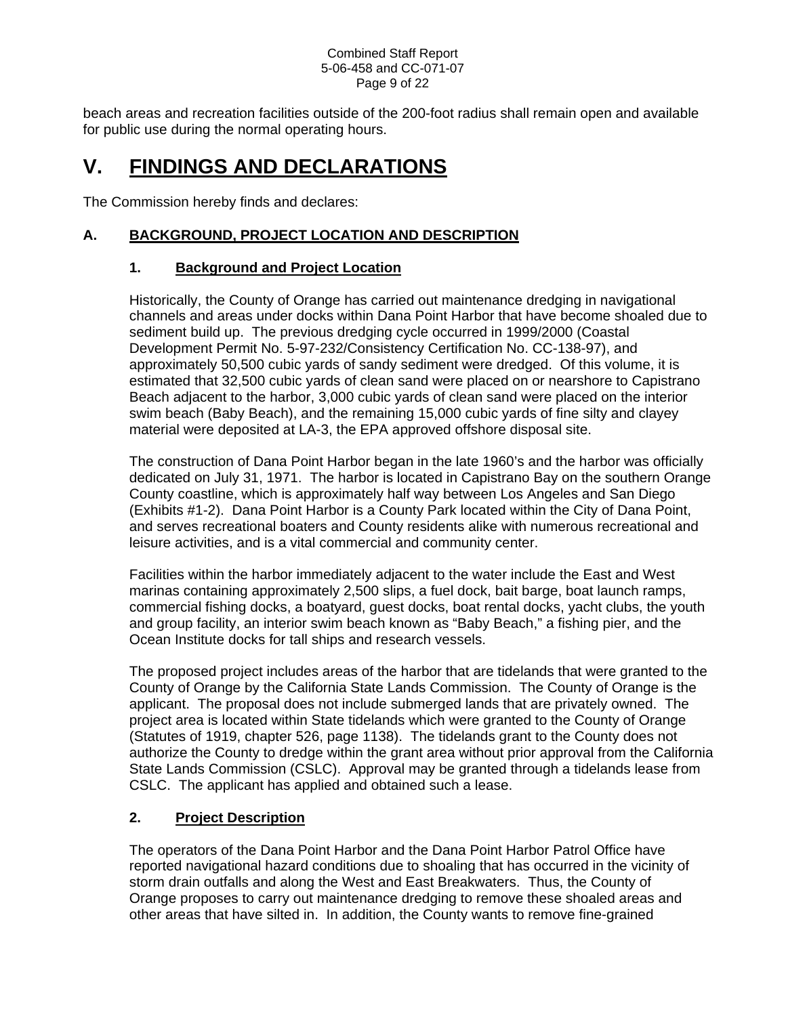#### Combined Staff Report 5-06-458 and CC-071-07 Page 9 of 22

beach areas and recreation facilities outside of the 200-foot radius shall remain open and available for public use during the normal operating hours.

# **V. FINDINGS AND DECLARATIONS**

The Commission hereby finds and declares:

# **A. BACKGROUND, PROJECT LOCATION AND DESCRIPTION**

## **1. Background and Project Location**

Historically, the County of Orange has carried out maintenance dredging in navigational channels and areas under docks within Dana Point Harbor that have become shoaled due to sediment build up. The previous dredging cycle occurred in 1999/2000 (Coastal Development Permit No. 5-97-232/Consistency Certification No. CC-138-97), and approximately 50,500 cubic yards of sandy sediment were dredged. Of this volume, it is estimated that 32,500 cubic yards of clean sand were placed on or nearshore to Capistrano Beach adjacent to the harbor, 3,000 cubic yards of clean sand were placed on the interior swim beach (Baby Beach), and the remaining 15,000 cubic yards of fine silty and clayey material were deposited at LA-3, the EPA approved offshore disposal site.

The construction of Dana Point Harbor began in the late 1960's and the harbor was officially dedicated on July 31, 1971. The harbor is located in Capistrano Bay on the southern Orange County coastline, which is approximately half way between Los Angeles and San Diego (Exhibits #1-2). Dana Point Harbor is a County Park located within the City of Dana Point, and serves recreational boaters and County residents alike with numerous recreational and leisure activities, and is a vital commercial and community center.

Facilities within the harbor immediately adjacent to the water include the East and West marinas containing approximately 2,500 slips, a fuel dock, bait barge, boat launch ramps, commercial fishing docks, a boatyard, guest docks, boat rental docks, yacht clubs, the youth and group facility, an interior swim beach known as "Baby Beach," a fishing pier, and the Ocean Institute docks for tall ships and research vessels.

The proposed project includes areas of the harbor that are tidelands that were granted to the County of Orange by the California State Lands Commission. The County of Orange is the applicant. The proposal does not include submerged lands that are privately owned. The project area is located within State tidelands which were granted to the County of Orange (Statutes of 1919, chapter 526, page 1138). The tidelands grant to the County does not authorize the County to dredge within the grant area without prior approval from the California State Lands Commission (CSLC). Approval may be granted through a tidelands lease from CSLC. The applicant has applied and obtained such a lease.

# **2. Project Description**

The operators of the Dana Point Harbor and the Dana Point Harbor Patrol Office have reported navigational hazard conditions due to shoaling that has occurred in the vicinity of storm drain outfalls and along the West and East Breakwaters. Thus, the County of Orange proposes to carry out maintenance dredging to remove these shoaled areas and other areas that have silted in. In addition, the County wants to remove fine-grained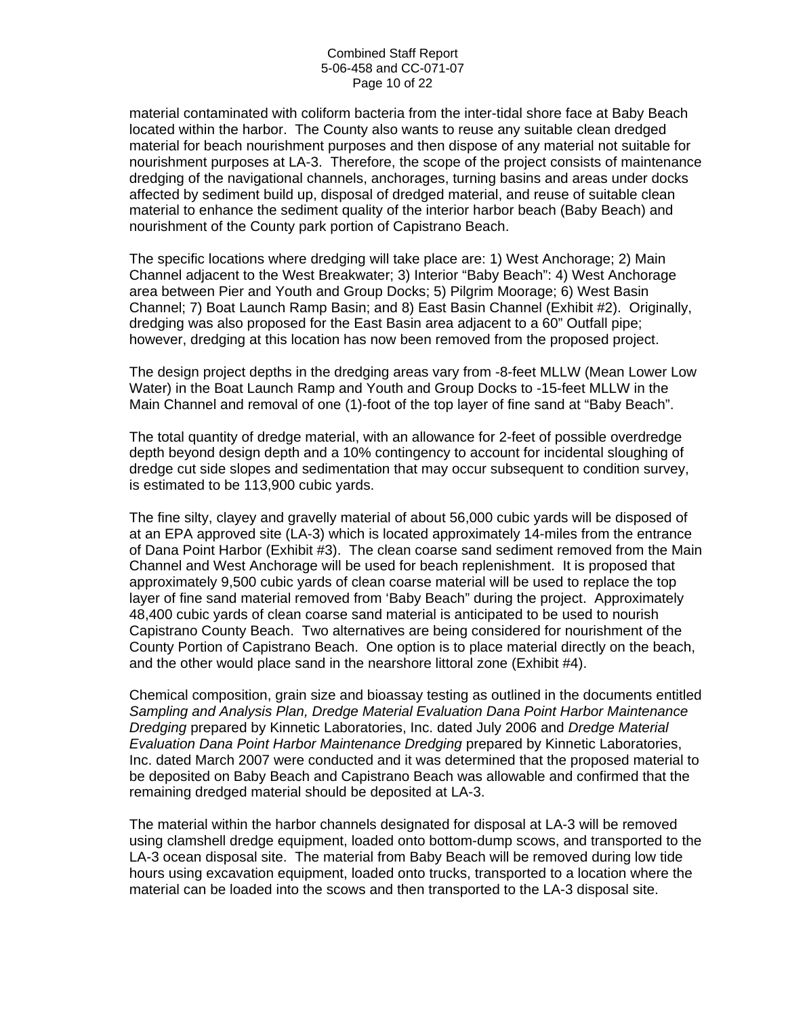material contaminated with coliform bacteria from the inter-tidal shore face at Baby Beach located within the harbor. The County also wants to reuse any suitable clean dredged material for beach nourishment purposes and then dispose of any material not suitable for nourishment purposes at LA-3. Therefore, the scope of the project consists of maintenance dredging of the navigational channels, anchorages, turning basins and areas under docks affected by sediment build up, disposal of dredged material, and reuse of suitable clean material to enhance the sediment quality of the interior harbor beach (Baby Beach) and nourishment of the County park portion of Capistrano Beach.

The specific locations where dredging will take place are: 1) West Anchorage; 2) Main Channel adjacent to the West Breakwater; 3) Interior "Baby Beach": 4) West Anchorage area between Pier and Youth and Group Docks; 5) Pilgrim Moorage; 6) West Basin Channel; 7) Boat Launch Ramp Basin; and 8) East Basin Channel (Exhibit #2). Originally, dredging was also proposed for the East Basin area adjacent to a 60" Outfall pipe; however, dredging at this location has now been removed from the proposed project.

The design project depths in the dredging areas vary from -8-feet MLLW (Mean Lower Low Water) in the Boat Launch Ramp and Youth and Group Docks to -15-feet MLLW in the Main Channel and removal of one (1)-foot of the top layer of fine sand at "Baby Beach".

The total quantity of dredge material, with an allowance for 2-feet of possible overdredge depth beyond design depth and a 10% contingency to account for incidental sloughing of dredge cut side slopes and sedimentation that may occur subsequent to condition survey, is estimated to be 113,900 cubic yards.

The fine silty, clayey and gravelly material of about 56,000 cubic yards will be disposed of at an EPA approved site (LA-3) which is located approximately 14-miles from the entrance of Dana Point Harbor (Exhibit #3). The clean coarse sand sediment removed from the Main Channel and West Anchorage will be used for beach replenishment. It is proposed that approximately 9,500 cubic yards of clean coarse material will be used to replace the top layer of fine sand material removed from 'Baby Beach" during the project. Approximately 48,400 cubic yards of clean coarse sand material is anticipated to be used to nourish Capistrano County Beach. Two alternatives are being considered for nourishment of the County Portion of Capistrano Beach. One option is to place material directly on the beach, and the other would place sand in the nearshore littoral zone (Exhibit #4).

Chemical composition, grain size and bioassay testing as outlined in the documents entitled *Sampling and Analysis Plan, Dredge Material Evaluation Dana Point Harbor Maintenance Dredging* prepared by Kinnetic Laboratories, Inc. dated July 2006 and *Dredge Material Evaluation Dana Point Harbor Maintenance Dredging* prepared by Kinnetic Laboratories, Inc. dated March 2007 were conducted and it was determined that the proposed material to be deposited on Baby Beach and Capistrano Beach was allowable and confirmed that the remaining dredged material should be deposited at LA-3.

The material within the harbor channels designated for disposal at LA-3 will be removed using clamshell dredge equipment, loaded onto bottom-dump scows, and transported to the LA-3 ocean disposal site. The material from Baby Beach will be removed during low tide hours using excavation equipment, loaded onto trucks, transported to a location where the material can be loaded into the scows and then transported to the LA-3 disposal site.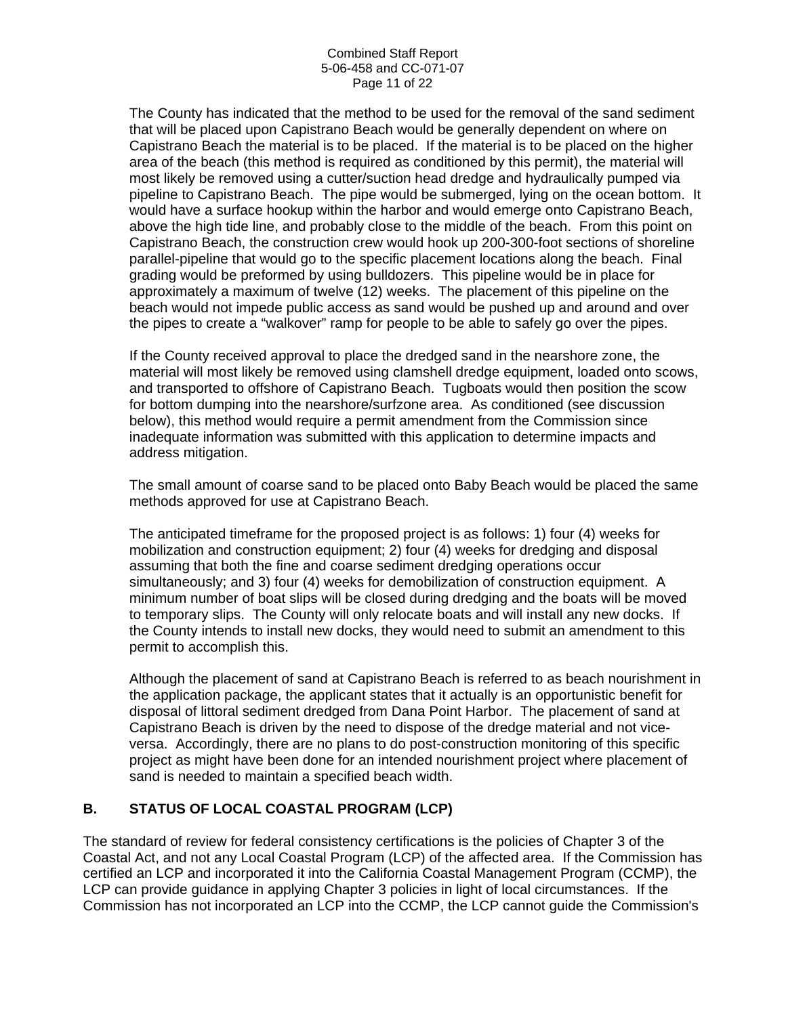The County has indicated that the method to be used for the removal of the sand sediment that will be placed upon Capistrano Beach would be generally dependent on where on Capistrano Beach the material is to be placed. If the material is to be placed on the higher area of the beach (this method is required as conditioned by this permit), the material will most likely be removed using a cutter/suction head dredge and hydraulically pumped via pipeline to Capistrano Beach. The pipe would be submerged, lying on the ocean bottom. It would have a surface hookup within the harbor and would emerge onto Capistrano Beach, above the high tide line, and probably close to the middle of the beach. From this point on Capistrano Beach, the construction crew would hook up 200-300-foot sections of shoreline parallel-pipeline that would go to the specific placement locations along the beach. Final grading would be preformed by using bulldozers. This pipeline would be in place for approximately a maximum of twelve (12) weeks. The placement of this pipeline on the beach would not impede public access as sand would be pushed up and around and over the pipes to create a "walkover" ramp for people to be able to safely go over the pipes.

If the County received approval to place the dredged sand in the nearshore zone, the material will most likely be removed using clamshell dredge equipment, loaded onto scows, and transported to offshore of Capistrano Beach. Tugboats would then position the scow for bottom dumping into the nearshore/surfzone area. As conditioned (see discussion below), this method would require a permit amendment from the Commission since inadequate information was submitted with this application to determine impacts and address mitigation.

The small amount of coarse sand to be placed onto Baby Beach would be placed the same methods approved for use at Capistrano Beach.

The anticipated timeframe for the proposed project is as follows: 1) four (4) weeks for mobilization and construction equipment; 2) four (4) weeks for dredging and disposal assuming that both the fine and coarse sediment dredging operations occur simultaneously; and 3) four (4) weeks for demobilization of construction equipment. A minimum number of boat slips will be closed during dredging and the boats will be moved to temporary slips. The County will only relocate boats and will install any new docks. If the County intends to install new docks, they would need to submit an amendment to this permit to accomplish this.

Although the placement of sand at Capistrano Beach is referred to as beach nourishment in the application package, the applicant states that it actually is an opportunistic benefit for disposal of littoral sediment dredged from Dana Point Harbor. The placement of sand at Capistrano Beach is driven by the need to dispose of the dredge material and not viceversa. Accordingly, there are no plans to do post-construction monitoring of this specific project as might have been done for an intended nourishment project where placement of sand is needed to maintain a specified beach width.

## **B. STATUS OF LOCAL COASTAL PROGRAM (LCP)**

The standard of review for federal consistency certifications is the policies of Chapter 3 of the Coastal Act, and not any Local Coastal Program (LCP) of the affected area. If the Commission has certified an LCP and incorporated it into the California Coastal Management Program (CCMP), the LCP can provide guidance in applying Chapter 3 policies in light of local circumstances. If the Commission has not incorporated an LCP into the CCMP, the LCP cannot guide the Commission's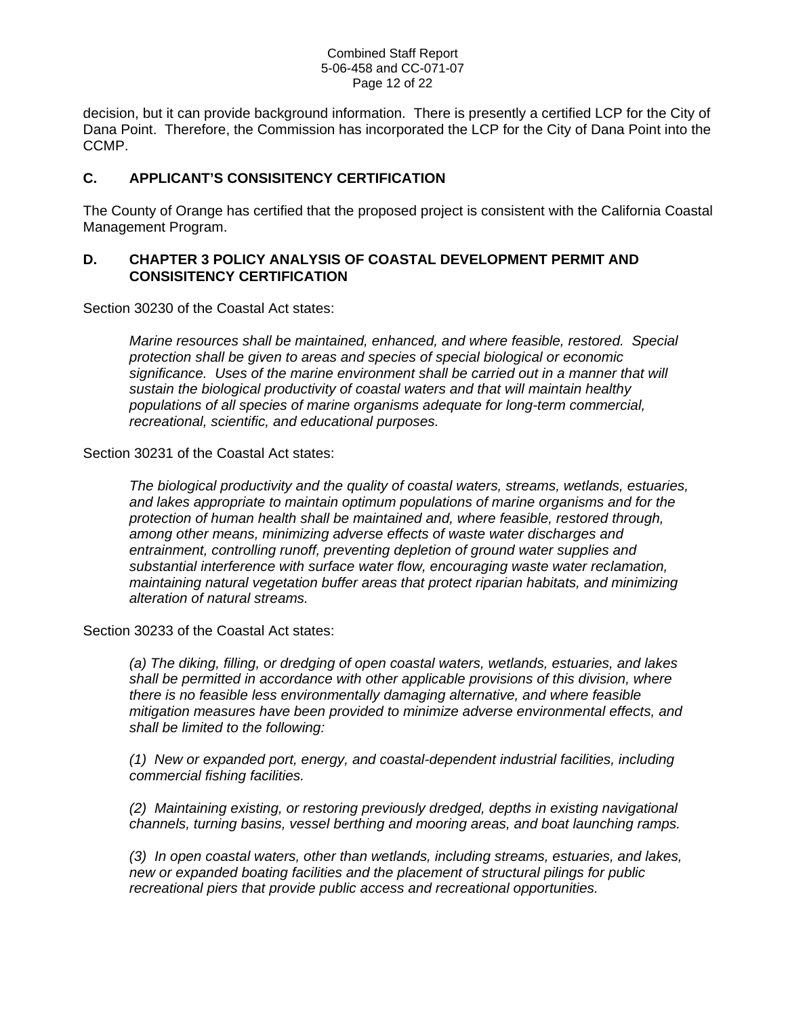#### Combined Staff Report 5-06-458 and CC-071-07 Page 12 of 22

decision, but it can provide background information. There is presently a certified LCP for the City of Dana Point. Therefore, the Commission has incorporated the LCP for the City of Dana Point into the CCMP.

#### **C. APPLICANT'S CONSISITENCY CERTIFICATION**

The County of Orange has certified that the proposed project is consistent with the California Coastal Management Program.

#### **D. CHAPTER 3 POLICY ANALYSIS OF COASTAL DEVELOPMENT PERMIT AND CONSISITENCY CERTIFICATION**

Section 30230 of the Coastal Act states:

*Marine resources shall be maintained, enhanced, and where feasible, restored. Special protection shall be given to areas and species of special biological or economic significance. Uses of the marine environment shall be carried out in a manner that will sustain the biological productivity of coastal waters and that will maintain healthy populations of all species of marine organisms adequate for long-term commercial, recreational, scientific, and educational purposes.* 

Section 30231 of the Coastal Act states:

*The biological productivity and the quality of coastal waters, streams, wetlands, estuaries, and lakes appropriate to maintain optimum populations of marine organisms and for the protection of human health shall be maintained and, where feasible, restored through, among other means, minimizing adverse effects of waste water discharges and entrainment, controlling runoff, preventing depletion of ground water supplies and substantial interference with surface water flow, encouraging waste water reclamation, maintaining natural vegetation buffer areas that protect riparian habitats, and minimizing alteration of natural streams.* 

Section 30233 of the Coastal Act states:

*(a) The diking, filling, or dredging of open coastal waters, wetlands, estuaries, and lakes shall be permitted in accordance with other applicable provisions of this division, where there is no feasible less environmentally damaging alternative, and where feasible mitigation measures have been provided to minimize adverse environmental effects, and shall be limited to the following:* 

*(1) New or expanded port, energy, and coastal-dependent industrial facilities, including commercial fishing facilities.* 

*(2) Maintaining existing, or restoring previously dredged, depths in existing navigational channels, turning basins, vessel berthing and mooring areas, and boat launching ramps.* 

*(3) In open coastal waters, other than wetlands, including streams, estuaries, and lakes, new or expanded boating facilities and the placement of structural pilings for public recreational piers that provide public access and recreational opportunities.*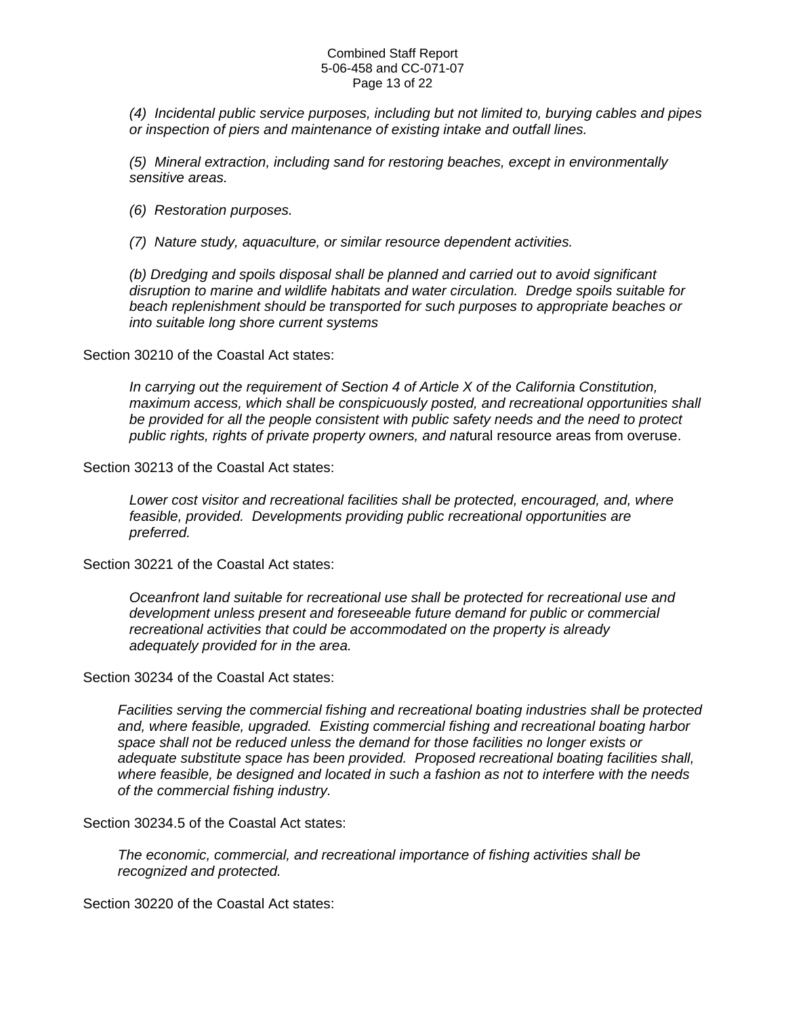#### Combined Staff Report 5-06-458 and CC-071-07 Page 13 of 22

*(4) Incidental public service purposes, including but not limited to, burying cables and pipes or inspection of piers and maintenance of existing intake and outfall lines.* 

*(5) Mineral extraction, including sand for restoring beaches, except in environmentally sensitive areas.* 

*(6) Restoration purposes.* 

*(7) Nature study, aquaculture, or similar resource dependent activities.* 

*(b) Dredging and spoils disposal shall be planned and carried out to avoid significant disruption to marine and wildlife habitats and water circulation. Dredge spoils suitable for beach replenishment should be transported for such purposes to appropriate beaches or into suitable long shore current systems* 

Section 30210 of the Coastal Act states:

*In carrying out the requirement of Section 4 of Article X of the California Constitution, maximum access, which shall be conspicuously posted, and recreational opportunities shall be provided for all the people consistent with public safety needs and the need to protect public rights, rights of private property owners, and nat*ural resource areas from overuse.

Section 30213 of the Coastal Act states:

*Lower cost visitor and recreational facilities shall be protected, encouraged, and, where feasible, provided. Developments providing public recreational opportunities are preferred.* 

Section 30221 of the Coastal Act states:

*Oceanfront land suitable for recreational use shall be protected for recreational use and development unless present and foreseeable future demand for public or commercial recreational activities that could be accommodated on the property is already adequately provided for in the area.* 

Section 30234 of the Coastal Act states:

*Facilities serving the commercial fishing and recreational boating industries shall be protected and, where feasible, upgraded. Existing commercial fishing and recreational boating harbor space shall not be reduced unless the demand for those facilities no longer exists or adequate substitute space has been provided. Proposed recreational boating facilities shall, where feasible, be designed and located in such a fashion as not to interfere with the needs of the commercial fishing industry.* 

Section 30234.5 of the Coastal Act states:

*The economic, commercial, and recreational importance of fishing activities shall be recognized and protected.* 

Section 30220 of the Coastal Act states: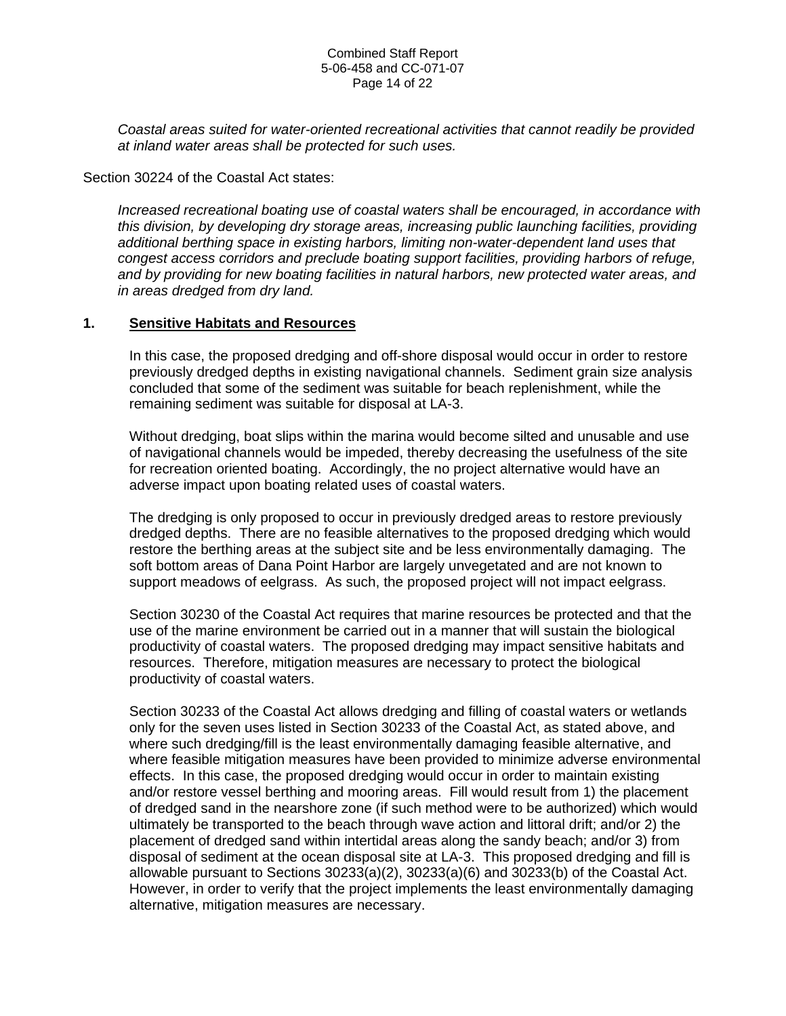*Coastal areas suited for water-oriented recreational activities that cannot readily be provided at inland water areas shall be protected for such uses.* 

Section 30224 of the Coastal Act states:

*Increased recreational boating use of coastal waters shall be encouraged, in accordance with this division, by developing dry storage areas, increasing public launching facilities, providing additional berthing space in existing harbors, limiting non-water-dependent land uses that congest access corridors and preclude boating support facilities, providing harbors of refuge, and by providing for new boating facilities in natural harbors, new protected water areas, and in areas dredged from dry land.* 

#### **1. Sensitive Habitats and Resources**

In this case, the proposed dredging and off-shore disposal would occur in order to restore previously dredged depths in existing navigational channels. Sediment grain size analysis concluded that some of the sediment was suitable for beach replenishment, while the remaining sediment was suitable for disposal at LA-3.

Without dredging, boat slips within the marina would become silted and unusable and use of navigational channels would be impeded, thereby decreasing the usefulness of the site for recreation oriented boating. Accordingly, the no project alternative would have an adverse impact upon boating related uses of coastal waters.

The dredging is only proposed to occur in previously dredged areas to restore previously dredged depths. There are no feasible alternatives to the proposed dredging which would restore the berthing areas at the subject site and be less environmentally damaging. The soft bottom areas of Dana Point Harbor are largely unvegetated and are not known to support meadows of eelgrass. As such, the proposed project will not impact eelgrass.

Section 30230 of the Coastal Act requires that marine resources be protected and that the use of the marine environment be carried out in a manner that will sustain the biological productivity of coastal waters. The proposed dredging may impact sensitive habitats and resources. Therefore, mitigation measures are necessary to protect the biological productivity of coastal waters.

Section 30233 of the Coastal Act allows dredging and filling of coastal waters or wetlands only for the seven uses listed in Section 30233 of the Coastal Act, as stated above, and where such dredging/fill is the least environmentally damaging feasible alternative, and where feasible mitigation measures have been provided to minimize adverse environmental effects. In this case, the proposed dredging would occur in order to maintain existing and/or restore vessel berthing and mooring areas. Fill would result from 1) the placement of dredged sand in the nearshore zone (if such method were to be authorized) which would ultimately be transported to the beach through wave action and littoral drift; and/or 2) the placement of dredged sand within intertidal areas along the sandy beach; and/or 3) from disposal of sediment at the ocean disposal site at LA-3. This proposed dredging and fill is allowable pursuant to Sections 30233(a)(2), 30233(a)(6) and 30233(b) of the Coastal Act. However, in order to verify that the project implements the least environmentally damaging alternative, mitigation measures are necessary.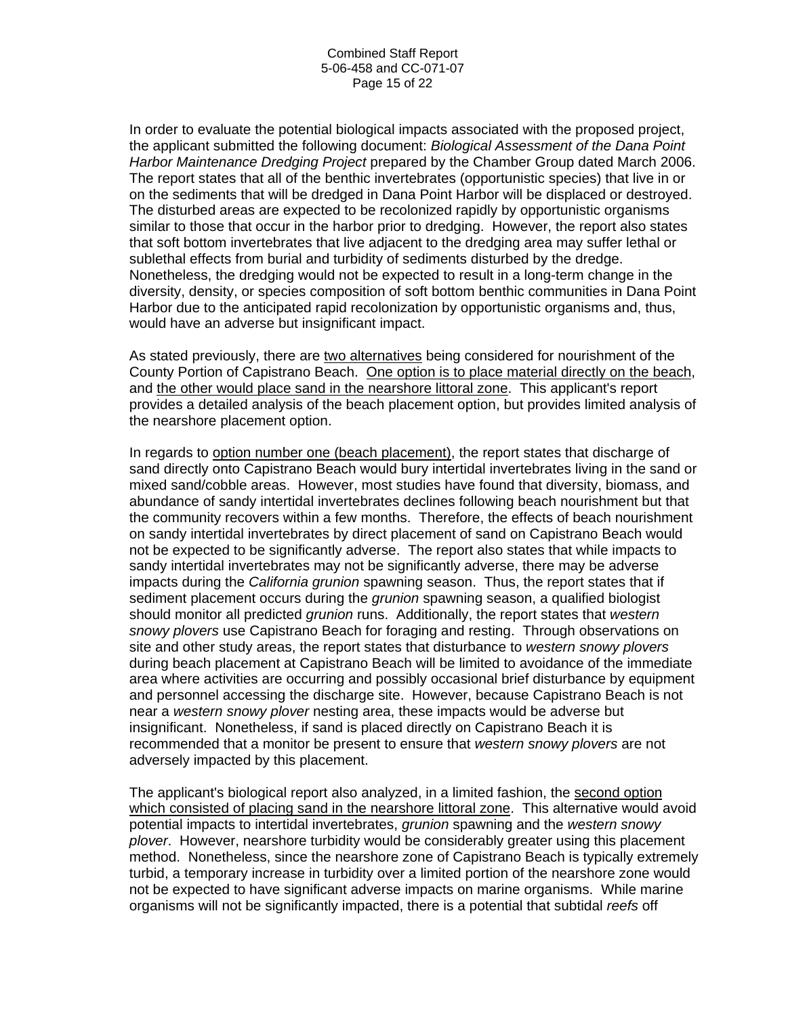In order to evaluate the potential biological impacts associated with the proposed project, the applicant submitted the following document: *Biological Assessment of the Dana Point Harbor Maintenance Dredging Project* prepared by the Chamber Group dated March 2006. The report states that all of the benthic invertebrates (opportunistic species) that live in or on the sediments that will be dredged in Dana Point Harbor will be displaced or destroyed. The disturbed areas are expected to be recolonized rapidly by opportunistic organisms similar to those that occur in the harbor prior to dredging. However, the report also states that soft bottom invertebrates that live adjacent to the dredging area may suffer lethal or sublethal effects from burial and turbidity of sediments disturbed by the dredge. Nonetheless, the dredging would not be expected to result in a long-term change in the diversity, density, or species composition of soft bottom benthic communities in Dana Point Harbor due to the anticipated rapid recolonization by opportunistic organisms and, thus, would have an adverse but insignificant impact.

As stated previously, there are two alternatives being considered for nourishment of the County Portion of Capistrano Beach. One option is to place material directly on the beach, and the other would place sand in the nearshore littoral zone. This applicant's report provides a detailed analysis of the beach placement option, but provides limited analysis of the nearshore placement option.

In regards to option number one (beach placement), the report states that discharge of sand directly onto Capistrano Beach would bury intertidal invertebrates living in the sand or mixed sand/cobble areas. However, most studies have found that diversity, biomass, and abundance of sandy intertidal invertebrates declines following beach nourishment but that the community recovers within a few months. Therefore, the effects of beach nourishment on sandy intertidal invertebrates by direct placement of sand on Capistrano Beach would not be expected to be significantly adverse. The report also states that while impacts to sandy intertidal invertebrates may not be significantly adverse, there may be adverse impacts during the *California grunion* spawning season. Thus, the report states that if sediment placement occurs during the *grunion* spawning season, a qualified biologist should monitor all predicted *grunion* runs. Additionally, the report states that *western snowy plovers* use Capistrano Beach for foraging and resting. Through observations on site and other study areas, the report states that disturbance to *western snowy plovers* during beach placement at Capistrano Beach will be limited to avoidance of the immediate area where activities are occurring and possibly occasional brief disturbance by equipment and personnel accessing the discharge site. However, because Capistrano Beach is not near a *western snowy plover* nesting area, these impacts would be adverse but insignificant. Nonetheless, if sand is placed directly on Capistrano Beach it is recommended that a monitor be present to ensure that *western snowy plovers* are not adversely impacted by this placement.

The applicant's biological report also analyzed, in a limited fashion, the second option which consisted of placing sand in the nearshore littoral zone. This alternative would avoid potential impacts to intertidal invertebrates, *grunion* spawning and the *western snowy plover*. However, nearshore turbidity would be considerably greater using this placement method. Nonetheless, since the nearshore zone of Capistrano Beach is typically extremely turbid, a temporary increase in turbidity over a limited portion of the nearshore zone would not be expected to have significant adverse impacts on marine organisms. While marine organisms will not be significantly impacted, there is a potential that subtidal *reefs* off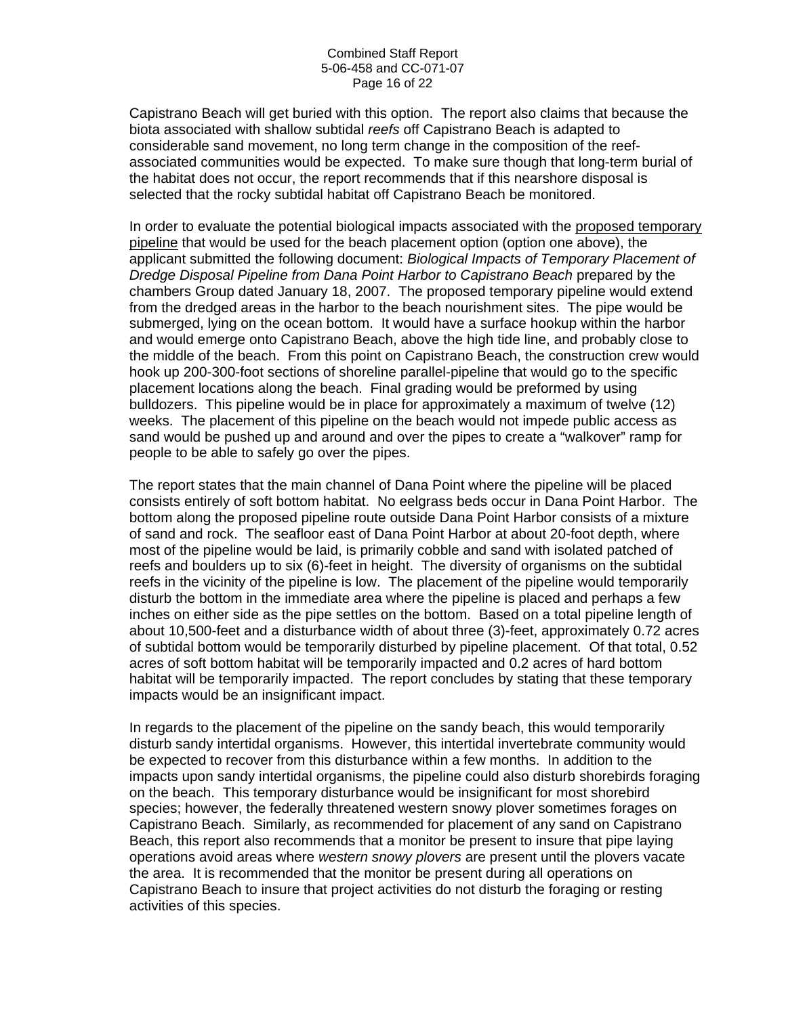Capistrano Beach will get buried with this option. The report also claims that because the biota associated with shallow subtidal *reefs* off Capistrano Beach is adapted to considerable sand movement, no long term change in the composition of the reefassociated communities would be expected. To make sure though that long-term burial of the habitat does not occur, the report recommends that if this nearshore disposal is selected that the rocky subtidal habitat off Capistrano Beach be monitored.

In order to evaluate the potential biological impacts associated with the proposed temporary pipeline that would be used for the beach placement option (option one above), the applicant submitted the following document: *Biological Impacts of Temporary Placement of Dredge Disposal Pipeline from Dana Point Harbor to Capistrano Beach* prepared by the chambers Group dated January 18, 2007. The proposed temporary pipeline would extend from the dredged areas in the harbor to the beach nourishment sites. The pipe would be submerged, lying on the ocean bottom. It would have a surface hookup within the harbor and would emerge onto Capistrano Beach, above the high tide line, and probably close to the middle of the beach. From this point on Capistrano Beach, the construction crew would hook up 200-300-foot sections of shoreline parallel-pipeline that would go to the specific placement locations along the beach. Final grading would be preformed by using bulldozers. This pipeline would be in place for approximately a maximum of twelve (12) weeks. The placement of this pipeline on the beach would not impede public access as sand would be pushed up and around and over the pipes to create a "walkover" ramp for people to be able to safely go over the pipes.

The report states that the main channel of Dana Point where the pipeline will be placed consists entirely of soft bottom habitat. No eelgrass beds occur in Dana Point Harbor. The bottom along the proposed pipeline route outside Dana Point Harbor consists of a mixture of sand and rock. The seafloor east of Dana Point Harbor at about 20-foot depth, where most of the pipeline would be laid, is primarily cobble and sand with isolated patched of reefs and boulders up to six (6)-feet in height. The diversity of organisms on the subtidal reefs in the vicinity of the pipeline is low. The placement of the pipeline would temporarily disturb the bottom in the immediate area where the pipeline is placed and perhaps a few inches on either side as the pipe settles on the bottom. Based on a total pipeline length of about 10,500-feet and a disturbance width of about three (3)-feet, approximately 0.72 acres of subtidal bottom would be temporarily disturbed by pipeline placement. Of that total, 0.52 acres of soft bottom habitat will be temporarily impacted and 0.2 acres of hard bottom habitat will be temporarily impacted. The report concludes by stating that these temporary impacts would be an insignificant impact.

In regards to the placement of the pipeline on the sandy beach, this would temporarily disturb sandy intertidal organisms. However, this intertidal invertebrate community would be expected to recover from this disturbance within a few months. In addition to the impacts upon sandy intertidal organisms, the pipeline could also disturb shorebirds foraging on the beach. This temporary disturbance would be insignificant for most shorebird species; however, the federally threatened western snowy plover sometimes forages on Capistrano Beach. Similarly, as recommended for placement of any sand on Capistrano Beach, this report also recommends that a monitor be present to insure that pipe laying operations avoid areas where *western snowy plovers* are present until the plovers vacate the area. It is recommended that the monitor be present during all operations on Capistrano Beach to insure that project activities do not disturb the foraging or resting activities of this species.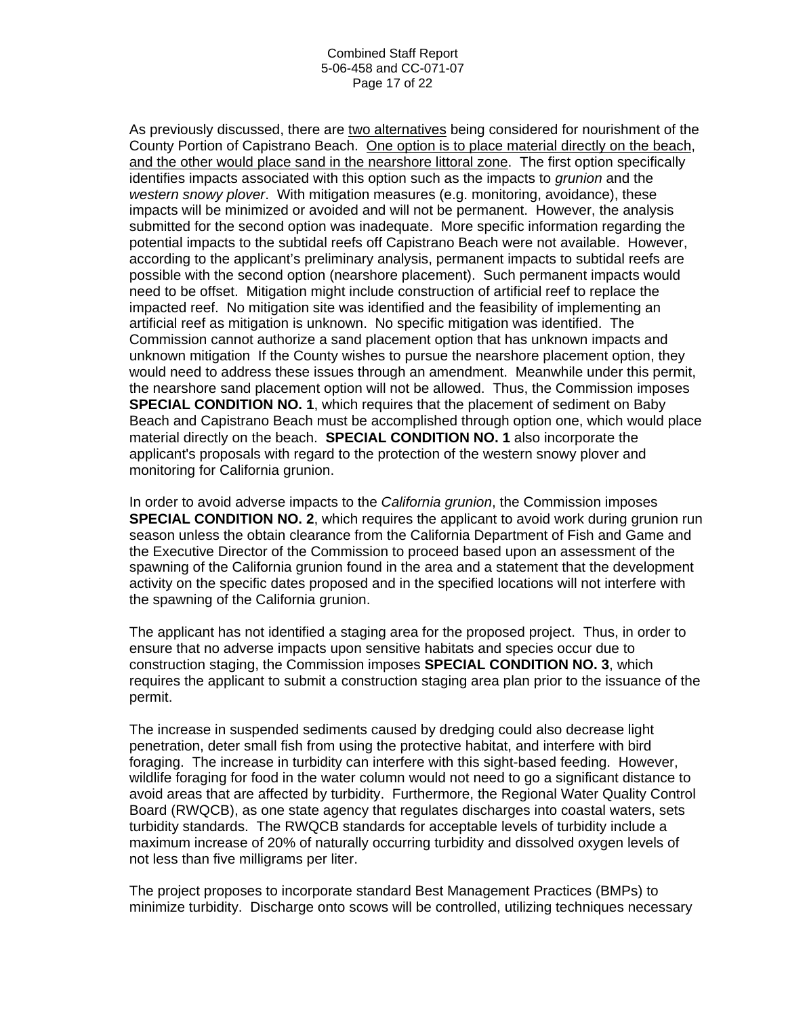As previously discussed, there are two alternatives being considered for nourishment of the County Portion of Capistrano Beach. One option is to place material directly on the beach, and the other would place sand in the nearshore littoral zone. The first option specifically identifies impacts associated with this option such as the impacts to *grunion* and the *western snowy plover*. With mitigation measures (e.g. monitoring, avoidance), these impacts will be minimized or avoided and will not be permanent. However, the analysis submitted for the second option was inadequate. More specific information regarding the potential impacts to the subtidal reefs off Capistrano Beach were not available. However, according to the applicant's preliminary analysis, permanent impacts to subtidal reefs are possible with the second option (nearshore placement). Such permanent impacts would need to be offset. Mitigation might include construction of artificial reef to replace the impacted reef. No mitigation site was identified and the feasibility of implementing an artificial reef as mitigation is unknown. No specific mitigation was identified. The Commission cannot authorize a sand placement option that has unknown impacts and unknown mitigation If the County wishes to pursue the nearshore placement option, they would need to address these issues through an amendment. Meanwhile under this permit, the nearshore sand placement option will not be allowed. Thus, the Commission imposes **SPECIAL CONDITION NO. 1**, which requires that the placement of sediment on Baby Beach and Capistrano Beach must be accomplished through option one, which would place material directly on the beach. **SPECIAL CONDITION NO. 1** also incorporate the applicant's proposals with regard to the protection of the western snowy plover and monitoring for California grunion.

In order to avoid adverse impacts to the *California grunion*, the Commission imposes **SPECIAL CONDITION NO. 2**, which requires the applicant to avoid work during grunion run season unless the obtain clearance from the California Department of Fish and Game and the Executive Director of the Commission to proceed based upon an assessment of the spawning of the California grunion found in the area and a statement that the development activity on the specific dates proposed and in the specified locations will not interfere with the spawning of the California grunion.

The applicant has not identified a staging area for the proposed project. Thus, in order to ensure that no adverse impacts upon sensitive habitats and species occur due to construction staging, the Commission imposes **SPECIAL CONDITION NO. 3**, which requires the applicant to submit a construction staging area plan prior to the issuance of the permit.

The increase in suspended sediments caused by dredging could also decrease light penetration, deter small fish from using the protective habitat, and interfere with bird foraging. The increase in turbidity can interfere with this sight-based feeding. However, wildlife foraging for food in the water column would not need to go a significant distance to avoid areas that are affected by turbidity. Furthermore, the Regional Water Quality Control Board (RWQCB), as one state agency that regulates discharges into coastal waters, sets turbidity standards. The RWQCB standards for acceptable levels of turbidity include a maximum increase of 20% of naturally occurring turbidity and dissolved oxygen levels of not less than five milligrams per liter.

The project proposes to incorporate standard Best Management Practices (BMPs) to minimize turbidity. Discharge onto scows will be controlled, utilizing techniques necessary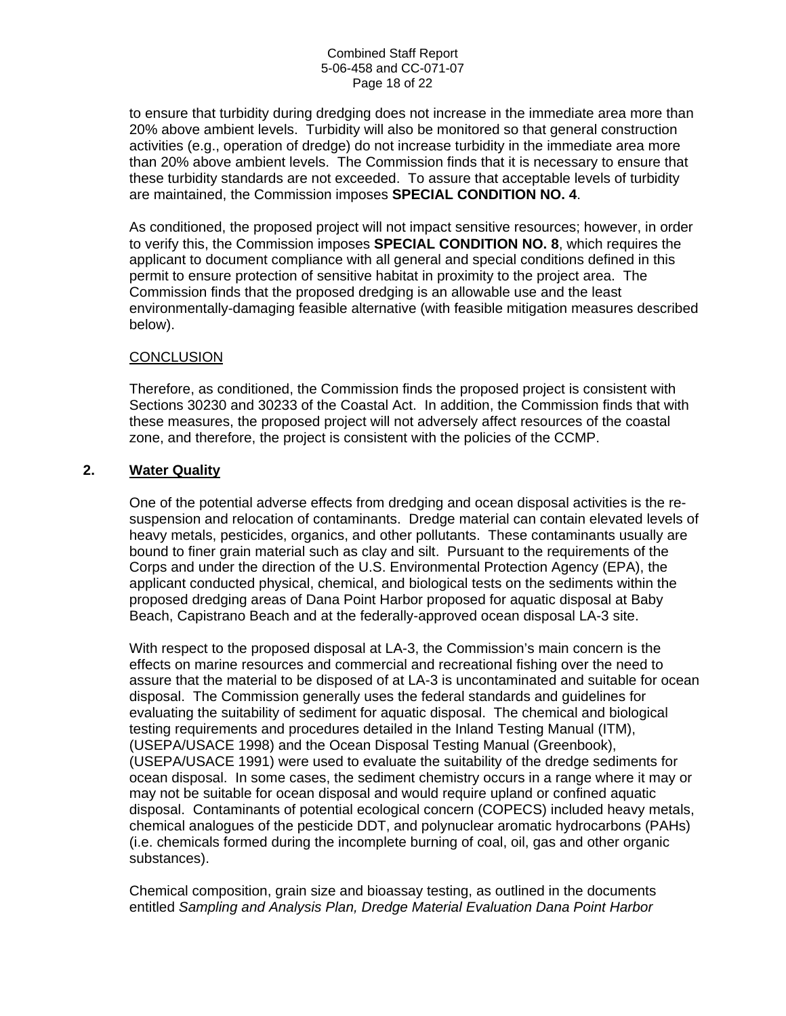to ensure that turbidity during dredging does not increase in the immediate area more than 20% above ambient levels. Turbidity will also be monitored so that general construction activities (e.g., operation of dredge) do not increase turbidity in the immediate area more than 20% above ambient levels. The Commission finds that it is necessary to ensure that these turbidity standards are not exceeded. To assure that acceptable levels of turbidity are maintained, the Commission imposes **SPECIAL CONDITION NO. 4**.

As conditioned, the proposed project will not impact sensitive resources; however, in order to verify this, the Commission imposes **SPECIAL CONDITION NO. 8**, which requires the applicant to document compliance with all general and special conditions defined in this permit to ensure protection of sensitive habitat in proximity to the project area. The Commission finds that the proposed dredging is an allowable use and the least environmentally-damaging feasible alternative (with feasible mitigation measures described below).

#### **CONCLUSION**

Therefore, as conditioned, the Commission finds the proposed project is consistent with Sections 30230 and 30233 of the Coastal Act. In addition, the Commission finds that with these measures, the proposed project will not adversely affect resources of the coastal zone, and therefore, the project is consistent with the policies of the CCMP.

#### **2. Water Quality**

One of the potential adverse effects from dredging and ocean disposal activities is the resuspension and relocation of contaminants. Dredge material can contain elevated levels of heavy metals, pesticides, organics, and other pollutants. These contaminants usually are bound to finer grain material such as clay and silt. Pursuant to the requirements of the Corps and under the direction of the U.S. Environmental Protection Agency (EPA), the applicant conducted physical, chemical, and biological tests on the sediments within the proposed dredging areas of Dana Point Harbor proposed for aquatic disposal at Baby Beach, Capistrano Beach and at the federally-approved ocean disposal LA-3 site.

With respect to the proposed disposal at LA-3, the Commission's main concern is the effects on marine resources and commercial and recreational fishing over the need to assure that the material to be disposed of at LA-3 is uncontaminated and suitable for ocean disposal. The Commission generally uses the federal standards and guidelines for evaluating the suitability of sediment for aquatic disposal. The chemical and biological testing requirements and procedures detailed in the Inland Testing Manual (ITM), (USEPA/USACE 1998) and the Ocean Disposal Testing Manual (Greenbook), (USEPA/USACE 1991) were used to evaluate the suitability of the dredge sediments for ocean disposal. In some cases, the sediment chemistry occurs in a range where it may or may not be suitable for ocean disposal and would require upland or confined aquatic disposal. Contaminants of potential ecological concern (COPECS) included heavy metals, chemical analogues of the pesticide DDT, and polynuclear aromatic hydrocarbons (PAHs) (i.e. chemicals formed during the incomplete burning of coal, oil, gas and other organic substances).

Chemical composition, grain size and bioassay testing, as outlined in the documents entitled *Sampling and Analysis Plan, Dredge Material Evaluation Dana Point Harbor*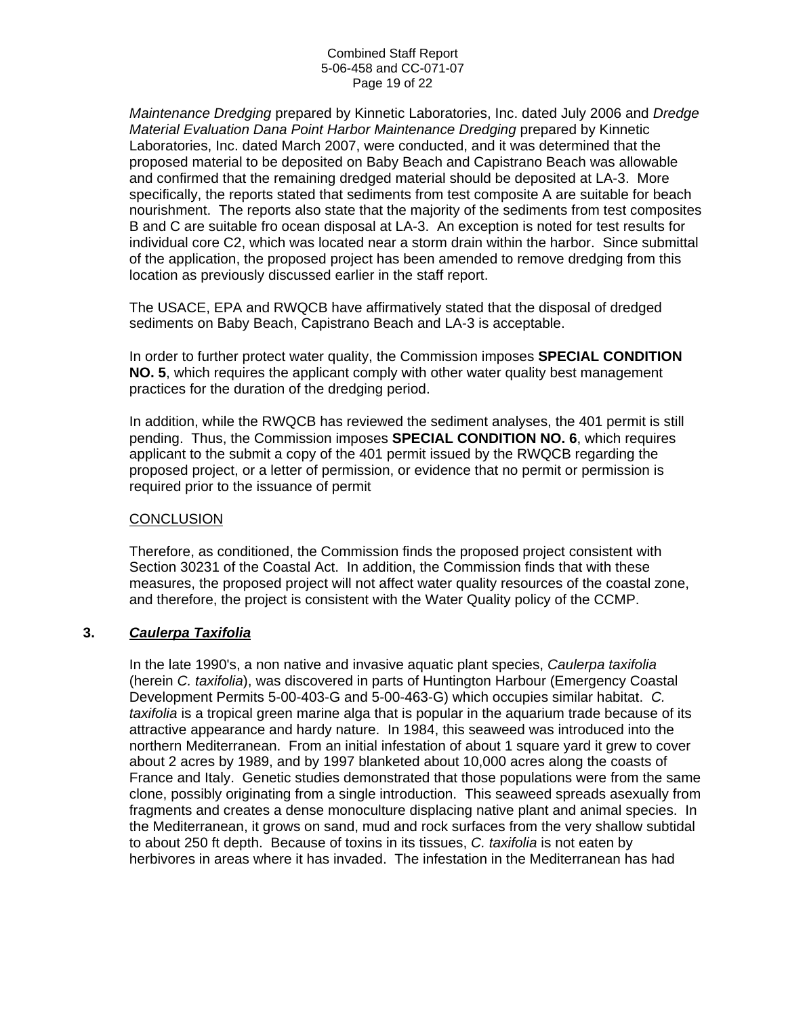*Maintenance Dredging* prepared by Kinnetic Laboratories, Inc. dated July 2006 and *Dredge Material Evaluation Dana Point Harbor Maintenance Dredging* prepared by Kinnetic Laboratories, Inc. dated March 2007, were conducted, and it was determined that the proposed material to be deposited on Baby Beach and Capistrano Beach was allowable and confirmed that the remaining dredged material should be deposited at LA-3. More specifically, the reports stated that sediments from test composite A are suitable for beach nourishment. The reports also state that the majority of the sediments from test composites B and C are suitable fro ocean disposal at LA-3. An exception is noted for test results for individual core C2, which was located near a storm drain within the harbor. Since submittal of the application, the proposed project has been amended to remove dredging from this location as previously discussed earlier in the staff report.

The USACE, EPA and RWQCB have affirmatively stated that the disposal of dredged sediments on Baby Beach, Capistrano Beach and LA-3 is acceptable.

In order to further protect water quality, the Commission imposes **SPECIAL CONDITION NO. 5**, which requires the applicant comply with other water quality best management practices for the duration of the dredging period.

In addition, while the RWQCB has reviewed the sediment analyses, the 401 permit is still pending. Thus, the Commission imposes **SPECIAL CONDITION NO. 6**, which requires applicant to the submit a copy of the 401 permit issued by the RWQCB regarding the proposed project, or a letter of permission, or evidence that no permit or permission is required prior to the issuance of permit

#### **CONCLUSION**

Therefore, as conditioned, the Commission finds the proposed project consistent with Section 30231 of the Coastal Act. In addition, the Commission finds that with these measures, the proposed project will not affect water quality resources of the coastal zone, and therefore, the project is consistent with the Water Quality policy of the CCMP.

#### **3.** *Caulerpa Taxifolia*

In the late 1990's, a non native and invasive aquatic plant species, *Caulerpa taxifolia* (herein *C. taxifolia*), was discovered in parts of Huntington Harbour (Emergency Coastal Development Permits 5-00-403-G and 5-00-463-G) which occupies similar habitat. *C. taxifolia* is a tropical green marine alga that is popular in the aquarium trade because of its attractive appearance and hardy nature. In 1984, this seaweed was introduced into the northern Mediterranean. From an initial infestation of about 1 square yard it grew to cover about 2 acres by 1989, and by 1997 blanketed about 10,000 acres along the coasts of France and Italy. Genetic studies demonstrated that those populations were from the same clone, possibly originating from a single introduction. This seaweed spreads asexually from fragments and creates a dense monoculture displacing native plant and animal species. In the Mediterranean, it grows on sand, mud and rock surfaces from the very shallow subtidal to about 250 ft depth. Because of toxins in its tissues, *C. taxifolia* is not eaten by herbivores in areas where it has invaded. The infestation in the Mediterranean has had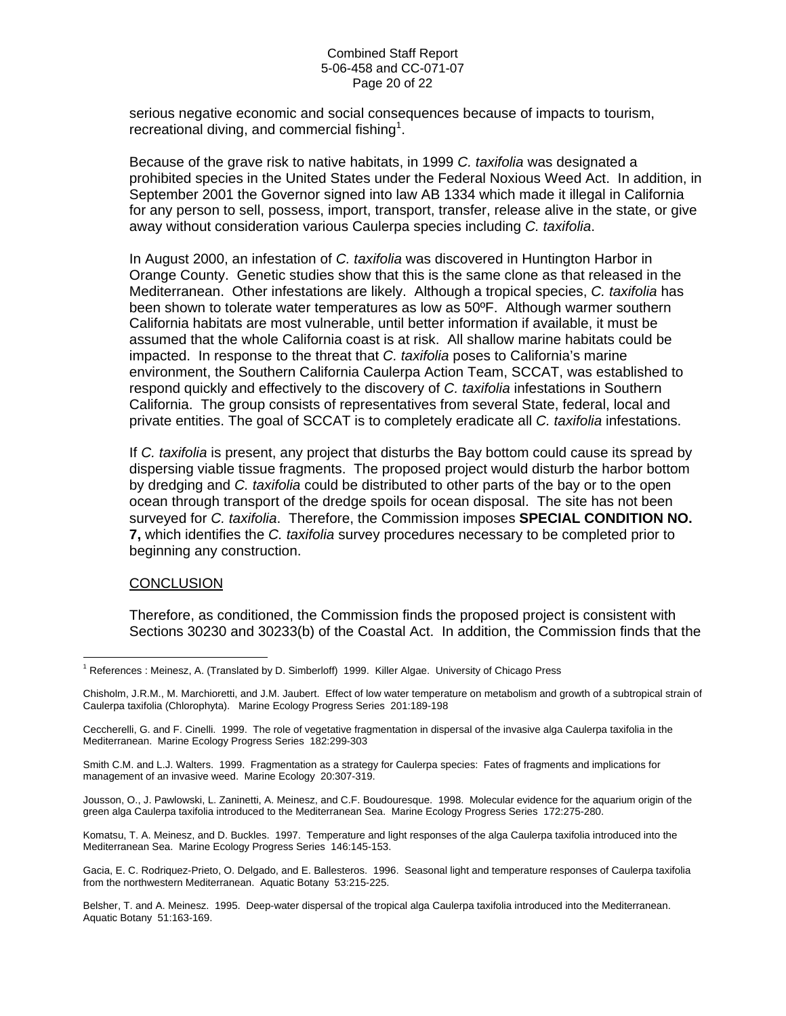#### Combined Staff Report 5-06-458 and CC-071-07 Page 20 of 22

serious negative economic and social consequences because of impacts to tourism, recreational diving, and commercial fishing<sup>[1](#page-19-0)</sup>.

Because of the grave risk to native habitats, in 1999 *C. taxifolia* was designated a prohibited species in the United States under the Federal Noxious Weed Act. In addition, in September 2001 the Governor signed into law AB 1334 which made it illegal in California for any person to sell, possess, import, transport, transfer, release alive in the state, or give away without consideration various Caulerpa species including *C. taxifolia*.

In August 2000, an infestation of *C. taxifolia* was discovered in Huntington Harbor in Orange County. Genetic studies show that this is the same clone as that released in the Mediterranean. Other infestations are likely. Although a tropical species, *C. taxifolia* has been shown to tolerate water temperatures as low as 50ºF. Although warmer southern California habitats are most vulnerable, until better information if available, it must be assumed that the whole California coast is at risk. All shallow marine habitats could be impacted. In response to the threat that *C. taxifolia* poses to California's marine environment, the Southern California Caulerpa Action Team, SCCAT, was established to respond quickly and effectively to the discovery of *C. taxifolia* infestations in Southern California. The group consists of representatives from several State, federal, local and private entities. The goal of SCCAT is to completely eradicate all *C. taxifolia* infestations.

If *C. taxifolia* is present, any project that disturbs the Bay bottom could cause its spread by dispersing viable tissue fragments. The proposed project would disturb the harbor bottom by dredging and *C. taxifolia* could be distributed to other parts of the bay or to the open ocean through transport of the dredge spoils for ocean disposal. The site has not been surveyed for *C. taxifolia*. Therefore, the Commission imposes **SPECIAL CONDITION NO. 7,** which identifies the *C. taxifolia* survey procedures necessary to be completed prior to beginning any construction.

#### **CONCLUSION**

Therefore, as conditioned, the Commission finds the proposed project is consistent with Sections 30230 and 30233(b) of the Coastal Act. In addition, the Commission finds that the

Jousson, O., J. Pawlowski, L. Zaninetti, A. Meinesz, and C.F. Boudouresque. 1998. Molecular evidence for the aquarium origin of the green alga Caulerpa taxifolia introduced to the Mediterranean Sea. Marine Ecology Progress Series 172:275-280.

Komatsu, T. A. Meinesz, and D. Buckles. 1997. Temperature and light responses of the alga Caulerpa taxifolia introduced into the Mediterranean Sea. Marine Ecology Progress Series 146:145-153.

Gacia, E. C. Rodriquez-Prieto, O. Delgado, and E. Ballesteros. 1996. Seasonal light and temperature responses of Caulerpa taxifolia from the northwestern Mediterranean. Aquatic Botany 53:215-225.

Belsher, T. and A. Meinesz. 1995. Deep-water dispersal of the tropical alga Caulerpa taxifolia introduced into the Mediterranean. Aquatic Botany 51:163-169.

<span id="page-19-0"></span> $\overline{a}$ <sup>1</sup> References : Meinesz, A. (Translated by D. Simberloff) 1999. Killer Algae. University of Chicago Press

Chisholm, J.R.M., M. Marchioretti, and J.M. Jaubert. Effect of low water temperature on metabolism and growth of a subtropical strain of Caulerpa taxifolia (Chlorophyta). Marine Ecology Progress Series 201:189-198

Ceccherelli, G. and F. Cinelli. 1999. The role of vegetative fragmentation in dispersal of the invasive alga Caulerpa taxifolia in the Mediterranean. Marine Ecology Progress Series 182:299-303

Smith C.M. and L.J. Walters. 1999. Fragmentation as a strategy for Caulerpa species: Fates of fragments and implications for management of an invasive weed. Marine Ecology 20:307-319.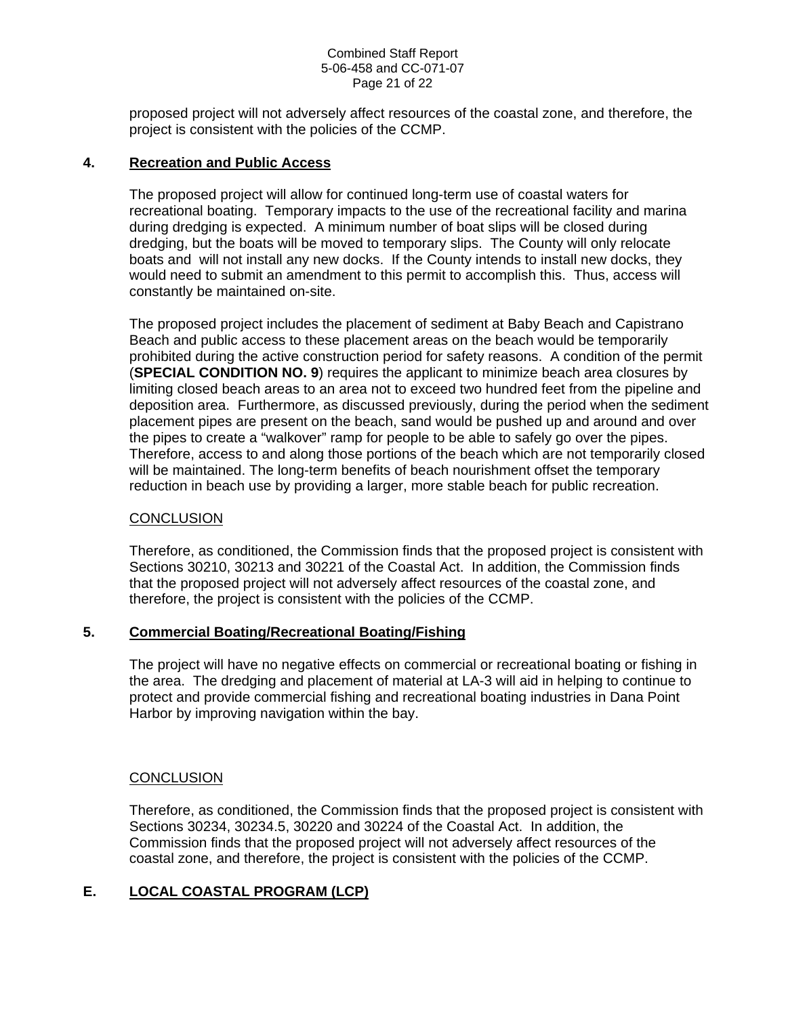#### Combined Staff Report 5-06-458 and CC-071-07 Page 21 of 22

proposed project will not adversely affect resources of the coastal zone, and therefore, the project is consistent with the policies of the CCMP.

#### **4. Recreation and Public Access**

The proposed project will allow for continued long-term use of coastal waters for recreational boating. Temporary impacts to the use of the recreational facility and marina during dredging is expected. A minimum number of boat slips will be closed during dredging, but the boats will be moved to temporary slips. The County will only relocate boats and will not install any new docks. If the County intends to install new docks, they would need to submit an amendment to this permit to accomplish this. Thus, access will constantly be maintained on-site.

The proposed project includes the placement of sediment at Baby Beach and Capistrano Beach and public access to these placement areas on the beach would be temporarily prohibited during the active construction period for safety reasons. A condition of the permit (**SPECIAL CONDITION NO. 9**) requires the applicant to minimize beach area closures by limiting closed beach areas to an area not to exceed two hundred feet from the pipeline and deposition area. Furthermore, as discussed previously, during the period when the sediment placement pipes are present on the beach, sand would be pushed up and around and over the pipes to create a "walkover" ramp for people to be able to safely go over the pipes. Therefore, access to and along those portions of the beach which are not temporarily closed will be maintained. The long-term benefits of beach nourishment offset the temporary reduction in beach use by providing a larger, more stable beach for public recreation.

#### **CONCLUSION**

Therefore, as conditioned, the Commission finds that the proposed project is consistent with Sections 30210, 30213 and 30221 of the Coastal Act. In addition, the Commission finds that the proposed project will not adversely affect resources of the coastal zone, and therefore, the project is consistent with the policies of the CCMP.

#### **5. Commercial Boating/Recreational Boating/Fishing**

The project will have no negative effects on commercial or recreational boating or fishing in the area. The dredging and placement of material at LA-3 will aid in helping to continue to protect and provide commercial fishing and recreational boating industries in Dana Point Harbor by improving navigation within the bay.

#### **CONCLUSION**

Therefore, as conditioned, the Commission finds that the proposed project is consistent with Sections 30234, 30234.5, 30220 and 30224 of the Coastal Act. In addition, the Commission finds that the proposed project will not adversely affect resources of the coastal zone, and therefore, the project is consistent with the policies of the CCMP.

## **E. LOCAL COASTAL PROGRAM (LCP)**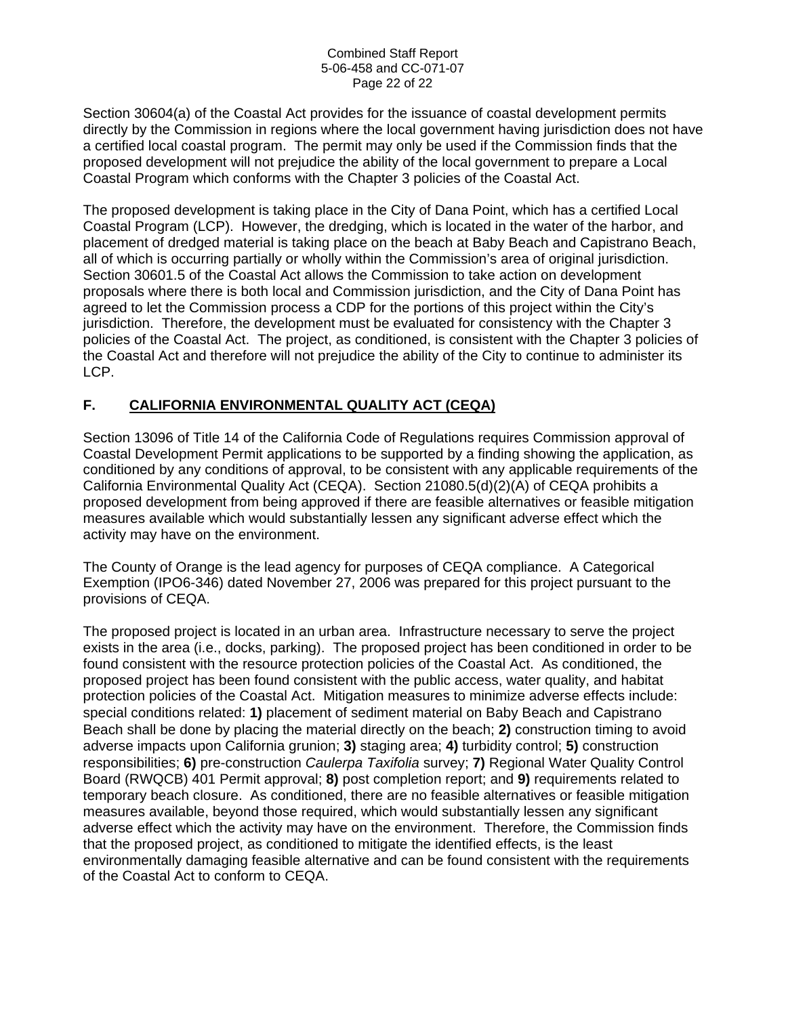#### Combined Staff Report 5-06-458 and CC-071-07 Page 22 of 22

Section 30604(a) of the Coastal Act provides for the issuance of coastal development permits directly by the Commission in regions where the local government having jurisdiction does not have a certified local coastal program. The permit may only be used if the Commission finds that the proposed development will not prejudice the ability of the local government to prepare a Local Coastal Program which conforms with the Chapter 3 policies of the Coastal Act.

The proposed development is taking place in the City of Dana Point, which has a certified Local Coastal Program (LCP). However, the dredging, which is located in the water of the harbor, and placement of dredged material is taking place on the beach at Baby Beach and Capistrano Beach, all of which is occurring partially or wholly within the Commission's area of original jurisdiction. Section 30601.5 of the Coastal Act allows the Commission to take action on development proposals where there is both local and Commission jurisdiction, and the City of Dana Point has agreed to let the Commission process a CDP for the portions of this project within the City's jurisdiction. Therefore, the development must be evaluated for consistency with the Chapter 3 policies of the Coastal Act. The project, as conditioned, is consistent with the Chapter 3 policies of the Coastal Act and therefore will not prejudice the ability of the City to continue to administer its LCP.

# **F. CALIFORNIA ENVIRONMENTAL QUALITY ACT (CEQA)**

Section 13096 of Title 14 of the California Code of Regulations requires Commission approval of Coastal Development Permit applications to be supported by a finding showing the application, as conditioned by any conditions of approval, to be consistent with any applicable requirements of the California Environmental Quality Act (CEQA). Section 21080.5(d)(2)(A) of CEQA prohibits a proposed development from being approved if there are feasible alternatives or feasible mitigation measures available which would substantially lessen any significant adverse effect which the activity may have on the environment.

The County of Orange is the lead agency for purposes of CEQA compliance. A Categorical Exemption (IPO6-346) dated November 27, 2006 was prepared for this project pursuant to the provisions of CEQA.

The proposed project is located in an urban area. Infrastructure necessary to serve the project exists in the area (i.e., docks, parking). The proposed project has been conditioned in order to be found consistent with the resource protection policies of the Coastal Act. As conditioned, the proposed project has been found consistent with the public access, water quality, and habitat protection policies of the Coastal Act. Mitigation measures to minimize adverse effects include: special conditions related: **1)** placement of sediment material on Baby Beach and Capistrano Beach shall be done by placing the material directly on the beach; **2)** construction timing to avoid adverse impacts upon California grunion; **3)** staging area; **4)** turbidity control; **5)** construction responsibilities; **6)** pre-construction *Caulerpa Taxifolia* survey; **7)** Regional Water Quality Control Board (RWQCB) 401 Permit approval; **8)** post completion report; and **9)** requirements related to temporary beach closure. As conditioned, there are no feasible alternatives or feasible mitigation measures available, beyond those required, which would substantially lessen any significant adverse effect which the activity may have on the environment. Therefore, the Commission finds that the proposed project, as conditioned to mitigate the identified effects, is the least environmentally damaging feasible alternative and can be found consistent with the requirements of the Coastal Act to conform to CEQA.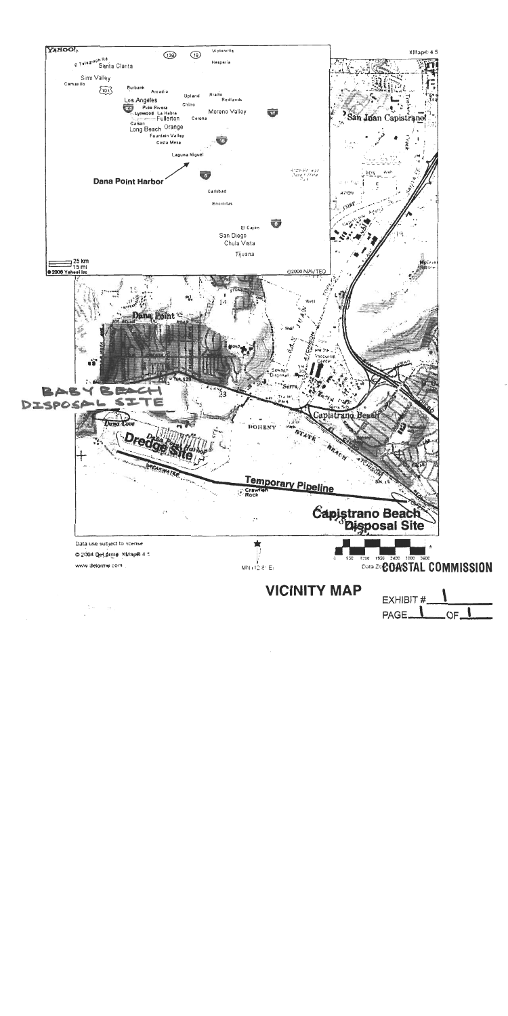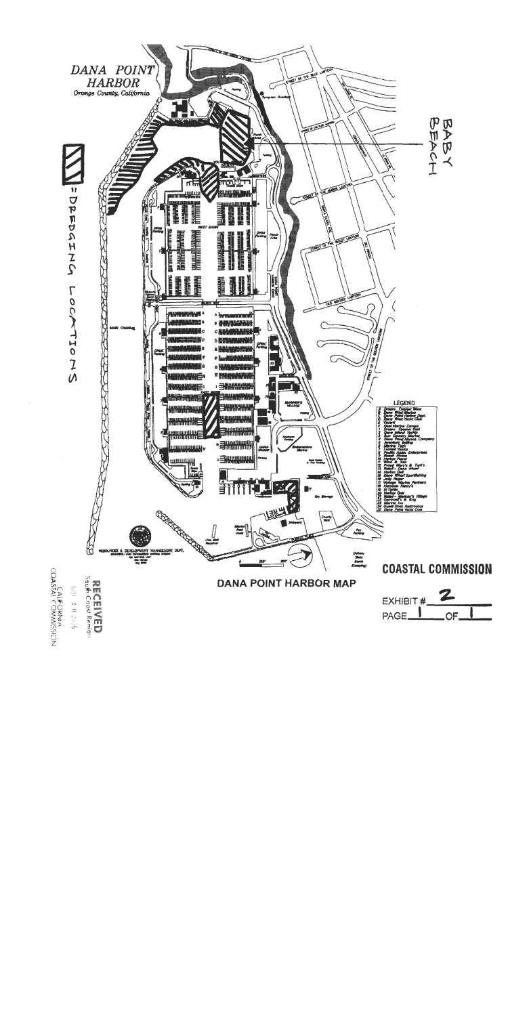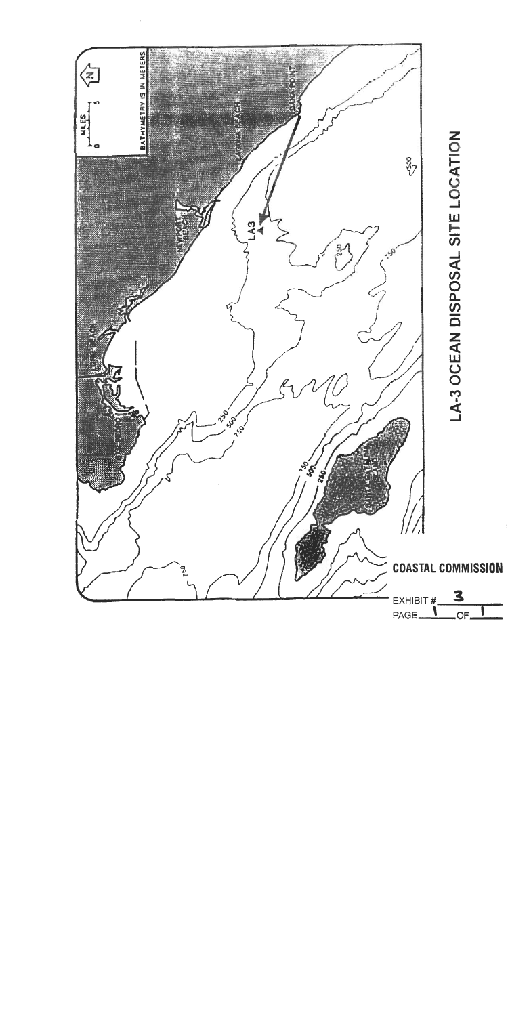